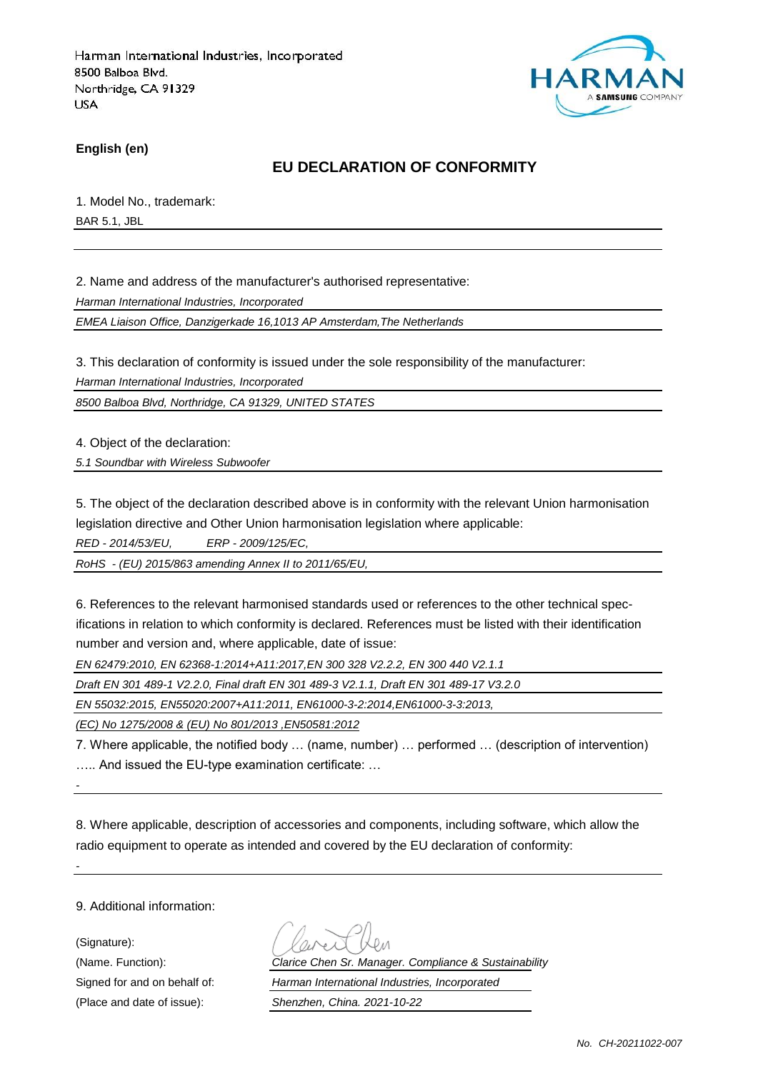

**English (en)**

### **EU DECLARATION OF CONFORMITY**

1. Model No., trademark: BAR 5.1, JBL

2. Name and address of the manufacturer's authorised representative:

*Harman International Industries, Incorporated*

*EMEA Liaison Office, Danzigerkade 16,1013 AP Amsterdam,The Netherlands*

3. This declaration of conformity is issued under the sole responsibility of the manufacturer:

*Harman International Industries, Incorporated*

*8500 Balboa Blvd, Northridge, CA 91329, UNITED STATES*

4. Object of the declaration:

*5.1 Soundbar with Wireless Subwoofer*

5. The object of the declaration described above is in conformity with the relevant Union harmonisation legislation directive and Other Union harmonisation legislation where applicable:

*RED - 2014/53/EU, ERP - 2009/125/EC,*

*RoHS - (EU) 2015/863 amending Annex II to 2011/65/EU,*

6. References to the relevant harmonised standards used or references to the other technical specifications in relation to which conformity is declared. References must be listed with their identification number and version and, where applicable, date of issue:

*EN 62479:2010, EN 62368-1:2014+A11:2017,EN 300 328 V2.2.2, EN 300 440 V2.1.1*

*Draft EN 301 489-1 V2.2.0, Final draft EN 301 489-3 V2.1.1, Draft EN 301 489-17 V3.2.0*

*EN 55032:2015, EN55020:2007+A11:2011, EN61000-3-2:2014,EN61000-3-3:2013,*

*(EC) No 1275/2008 & (EU) No 801/2013 ,EN50581:2012*

7. Where applicable, the notified body … (name, number) … performed … (description of intervention) ….. And issued the EU-type examination certificate: …

*-*

*-*

8. Where applicable, description of accessories and components, including software, which allow the radio equipment to operate as intended and covered by the EU declaration of conformity:

9. Additional information:

(Signature):

(Name. Function): *Clarice Chen Sr. Manager. Compliance & Sustainability* Signed for and on behalf of: *Harman International Industries, Incorporated* (Place and date of issue): *Shenzhen, China. 2021-10-22*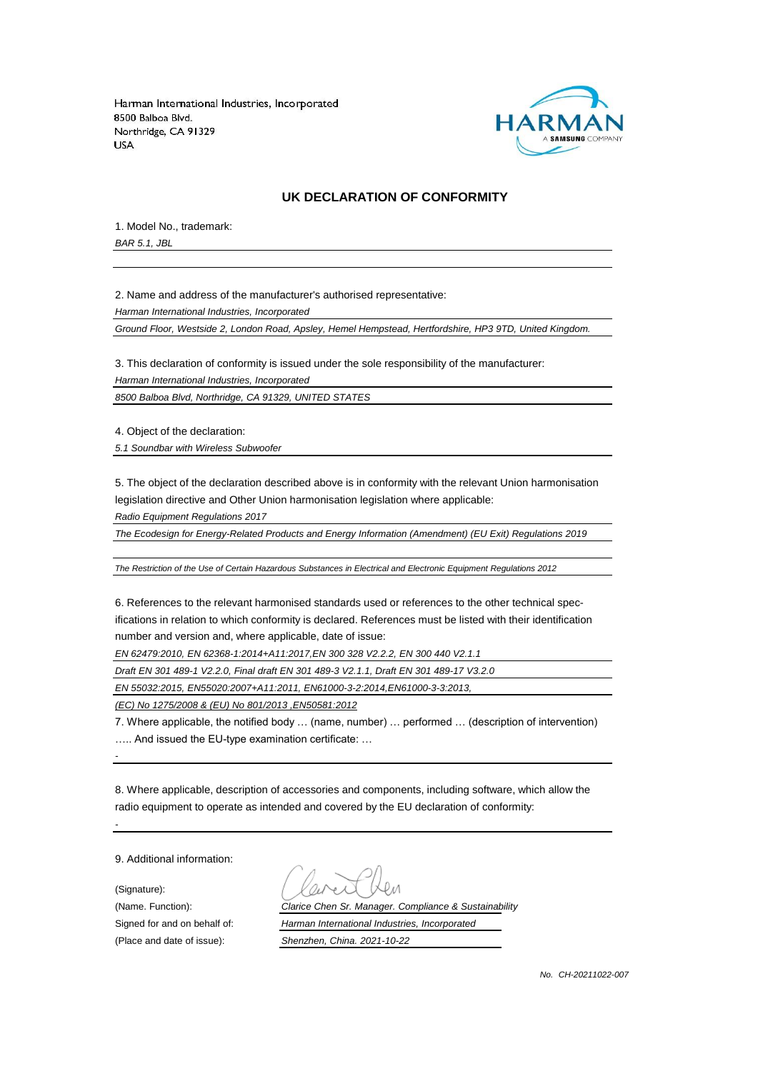

#### **UK DECLARATION OF CONFORMITY**

1. Model No., trademark:

*BAR 5.1, JBL*

2. Name and address of the manufacturer's authorised representative:

*Harman International Industries, Incorporated*

*Ground Floor, Westside 2, London Road, Apsley, Hemel Hempstead, Hertfordshire, HP3 9TD, United Kingdom.*

3. This declaration of conformity is issued under the sole responsibility of the manufacturer:

*Harman International Industries, Incorporated*

*8500 Balboa Blvd, Northridge, CA 91329, UNITED STATES*

4. Object of the declaration:

*5.1 Soundbar with Wireless Subwoofer*

5. The object of the declaration described above is in conformity with the relevant Union harmonisation legislation directive and Other Union harmonisation legislation where applicable:

*Radio Equipment Regulations 2017*

*The Ecodesign for Energy-Related Products and Energy Information (Amendment) (EU Exit) Regulations 2019*

*The Restriction of the Use of Certain Hazardous Substances in Electrical and Electronic Equipment Regulations 2012*

6. References to the relevant harmonised standards used or references to the other technical specifications in relation to which conformity is declared. References must be listed with their identification number and version and, where applicable, date of issue:

*EN 62479:2010, EN 62368-1:2014+A11:2017,EN 300 328 V2.2.2, EN 300 440 V2.1.1*

*Draft EN 301 489-1 V2.2.0, Final draft EN 301 489-3 V2.1.1, Draft EN 301 489-17 V3.2.0*

*EN 55032:2015, EN55020:2007+A11:2011, EN61000-3-2:2014,EN61000-3-3:2013,*

*(EC) No 1275/2008 & (EU) No 801/2013 ,EN50581:2012*

7. Where applicable, the notified body … (name, number) … performed … (description of intervention) ….. And issued the EU-type examination certificate: …

8. Where applicable, description of accessories and components, including software, which allow the radio equipment to operate as intended and covered by the EU declaration of conformity:

9. Additional information:

(Signature):

*-*

*-*

(Name. Function): *Clarice Chen Sr. Manager. Compliance & Sustainability* Signed for and on behalf of: *Harman International Industries, Incorporated*

(Place and date of issue): *Shenzhen, China. 2021-10-22*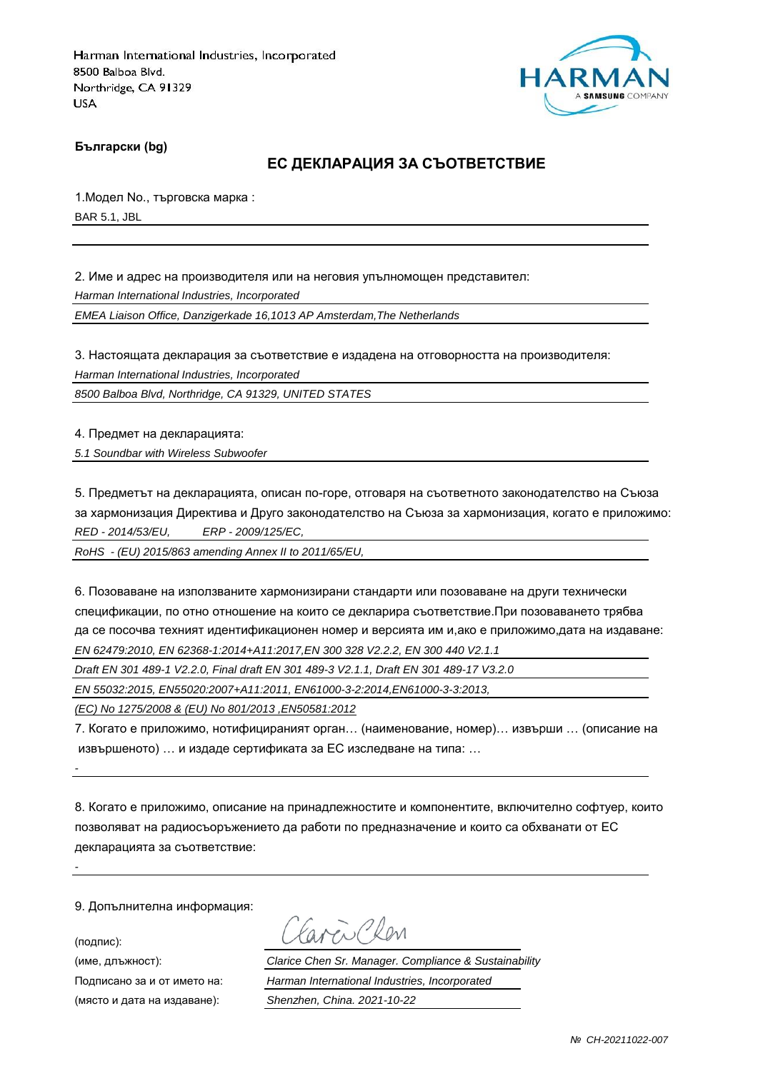

**Български (bg)**

#### **ЕС ДЕКЛАРАЦИЯ ЗА СЪОТВЕТСТВИЕ**

1.Модел No., търговска марка : BAR 5.1, JBL

2. Име и адрес на производителя или на неговия упълномощен представител:

*Harman International Industries, Incorporated*

*EMEA Liaison Office, Danzigerkade 16,1013 AP Amsterdam,The Netherlands*

3. Настоящата декларация за съответствие е издадена на отговорността на производителя:

*Harman International Industries, Incorporated*

*8500 Balboa Blvd, Northridge, CA 91329, UNITED STATES*

4. Предмет на декларацията:

*5.1 Soundbar with Wireless Subwoofer*

5. Предметът на декларацията, описан по-горе, отговаря на съответното законодателство на Съюза за хармонизация Директива и Друго законодателство на Съюза за хармонизация, когато е приложимо: *RED - 2014/53/EU, ERP - 2009/125/EC,*

*RoHS - (EU) 2015/863 amending Annex II to 2011/65/EU,*

6. Позоваване на използваните хармонизирани стандарти или позоваване на други технически спецификации, по отно отношение на които се декларира съответствие.При позоваването трябва да се посочва техният идентификационен номер и версията им и,ако е приложимо,дата на издаване: *EN 62479:2010, EN 62368-1:2014+A11:2017,EN 300 328 V2.2.2, EN 300 440 V2.1.1*

*Draft EN 301 489-1 V2.2.0, Final draft EN 301 489-3 V2.1.1, Draft EN 301 489-17 V3.2.0*

*EN 55032:2015, EN55020:2007+A11:2011, EN61000-3-2:2014,EN61000-3-3:2013,*

*(EC) No 1275/2008 & (EU) No 801/2013 ,EN50581:2012*

7. Когато е приложимо, нотифицираният орган… (наименование, номер)… извърши … (описание на извършеното) … и издаде сертификата за ЕС изследване на типа: …

8. Когато е приложимо, описание на принадлежностите и компонентите, включително софтуер, които позволяват на радиосъоръжението да работи по предназначение и които са обхванати от ЕС декларацията за съответствие:

9. Допълнителна информация:

(подпис):

*-*

*-*

aven Clen

(име, длъжност): *Clarice Chen Sr. Manager. Compliance & Sustainability* Подписано за и от името на: *Harman International Industries, Incorporated* (място и дата на издаване): *Shenzhen, China. 2021-10-22*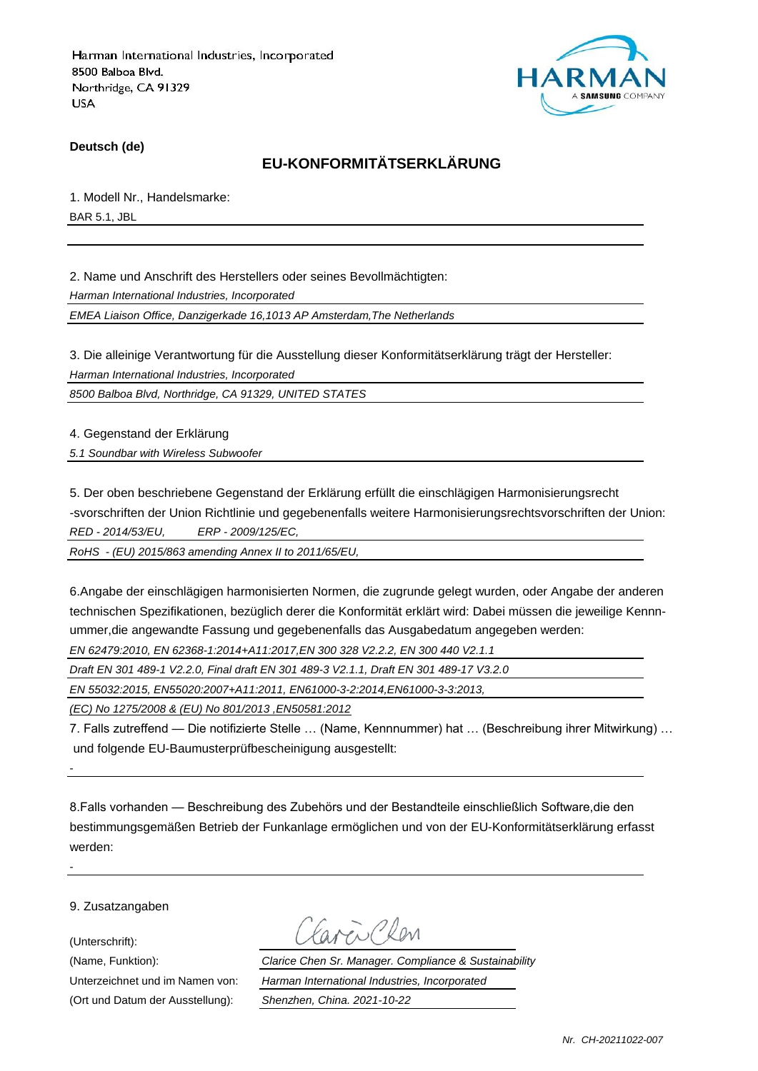

**Deutsch (de)**

### **EU-KONFORMITÄTSERKLÄRUNG**

1. Modell Nr., Handelsmarke: BAR 5.1, JBL

2. Name und Anschrift des Herstellers oder seines Bevollmächtigten:

*Harman International Industries, Incorporated*

*EMEA Liaison Office, Danzigerkade 16,1013 AP Amsterdam,The Netherlands*

3. Die alleinige Verantwortung für die Ausstellung dieser Konformitätserklärung trägt der Hersteller:

*Harman International Industries, Incorporated*

*8500 Balboa Blvd, Northridge, CA 91329, UNITED STATES*

4. Gegenstand der Erklärung

*5.1 Soundbar with Wireless Subwoofer*

5. Der oben beschriebene Gegenstand der Erklärung erfüllt die einschlägigen Harmonisierungsrecht -svorschriften der Union Richtlinie und gegebenenfalls weitere Harmonisierungsrechtsvorschriften der Union: *RED - 2014/53/EU, ERP - 2009/125/EC,*

*RoHS - (EU) 2015/863 amending Annex II to 2011/65/EU,*

6.Angabe der einschlägigen harmonisierten Normen, die zugrunde gelegt wurden, oder Angabe der anderen technischen Spezifikationen, bezüglich derer die Konformität erklärt wird: Dabei müssen die jeweilige Kennnummer,die angewandte Fassung und gegebenenfalls das Ausgabedatum angegeben werden:

*EN 62479:2010, EN 62368-1:2014+A11:2017,EN 300 328 V2.2.2, EN 300 440 V2.1.1*

*Draft EN 301 489-1 V2.2.0, Final draft EN 301 489-3 V2.1.1, Draft EN 301 489-17 V3.2.0*

*EN 55032:2015, EN55020:2007+A11:2011, EN61000-3-2:2014,EN61000-3-3:2013,*

*(EC) No 1275/2008 & (EU) No 801/2013 ,EN50581:2012*

7. Falls zutreffend — Die notifizierte Stelle … (Name, Kennnummer) hat … (Beschreibung ihrer Mitwirkung) … und folgende EU-Baumusterprüfbescheinigung ausgestellt:

8.Falls vorhanden — Beschreibung des Zubehörs und der Bestandteile einschließlich Software,die den bestimmungsgemäßen Betrieb der Funkanlage ermöglichen und von der EU-Konformitätserklärung erfasst werden:

9. Zusatzangaben

(Unterschrift):

*-*

*-*

(Ort und Datum der Ausstellung): *Shenzhen, China. 2021-10-22*

Mi Plan

(Name, Funktion): *Clarice Chen Sr. Manager. Compliance & Sustainability* Unterzeichnet und im Namen von: *Harman International Industries, Incorporated*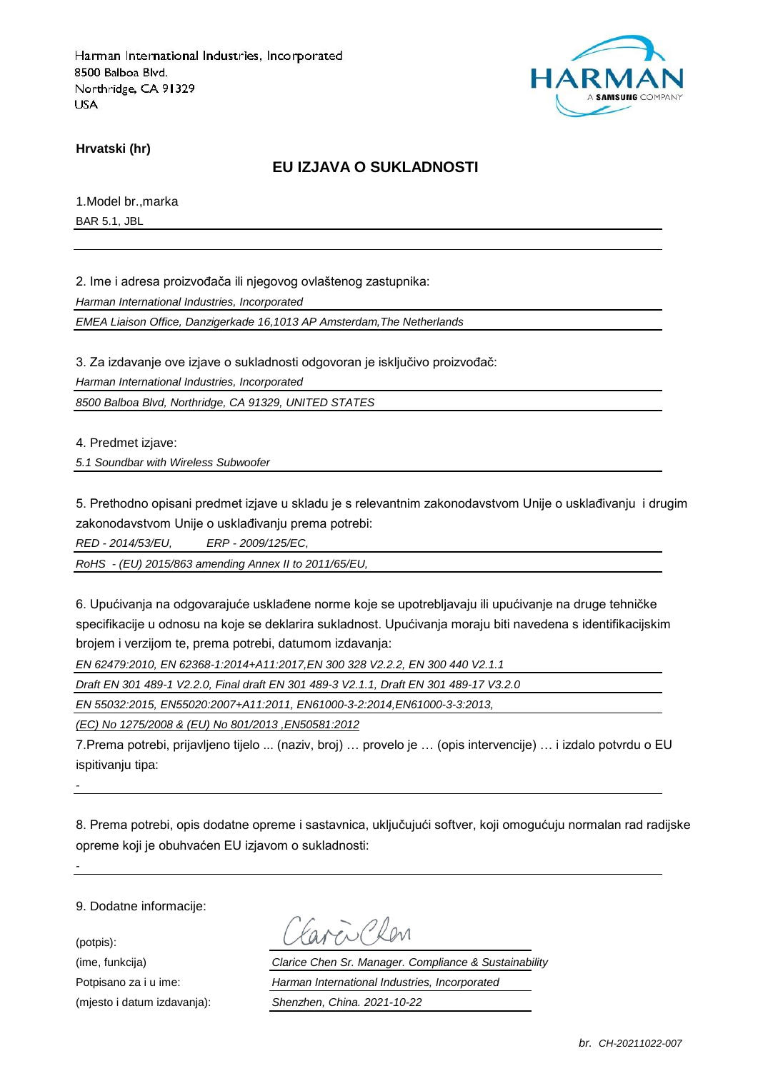

**Hrvatski (hr)**

### **EU IZJAVA O SUKLADNOSTI**

1.Model br.,marka BAR 5.1, JBL

2. Ime i adresa proizvođača ili njegovog ovlaštenog zastupnika:

*Harman International Industries, Incorporated*

*EMEA Liaison Office, Danzigerkade 16,1013 AP Amsterdam,The Netherlands*

3. Za izdavanje ove izjave o sukladnosti odgovoran je isključivo proizvođač:

*Harman International Industries, Incorporated*

*8500 Balboa Blvd, Northridge, CA 91329, UNITED STATES*

4. Predmet izjave:

*5.1 Soundbar with Wireless Subwoofer*

5. Prethodno opisani predmet izjave u skladu je s relevantnim zakonodavstvom Unije o usklađivanju i drugim zakonodavstvom Unije o usklađivanju prema potrebi:

*RED - 2014/53/EU, ERP - 2009/125/EC,*

*RoHS - (EU) 2015/863 amending Annex II to 2011/65/EU,*

6. Upućivanja na odgovarajuće usklađene norme koje se upotrebljavaju ili upućivanje na druge tehničke specifikacije u odnosu na koje se deklarira sukladnost. Upućivanja moraju biti navedena s identifikacijskim brojem i verzijom te, prema potrebi, datumom izdavanja:

*EN 62479:2010, EN 62368-1:2014+A11:2017,EN 300 328 V2.2.2, EN 300 440 V2.1.1*

*Draft EN 301 489-1 V2.2.0, Final draft EN 301 489-3 V2.1.1, Draft EN 301 489-17 V3.2.0*

*EN 55032:2015, EN55020:2007+A11:2011, EN61000-3-2:2014,EN61000-3-3:2013,*

*(EC) No 1275/2008 & (EU) No 801/2013 ,EN50581:2012*

7.Prema potrebi, prijavljeno tijelo ... (naziv, broj) … provelo je … (opis intervencije) … i izdalo potvrdu o EU ispitivaniu tipa:

*-*

*-*

8. Prema potrebi, opis dodatne opreme i sastavnica, uključujući softver, koji omogućuju normalan rad radijske opreme koji je obuhvaćen EU izjavom o sukladnosti:

9. Dodatne informacije:

(potpis):

Favor Chen

(ime, funkcija) *Clarice Chen Sr. Manager. Compliance & Sustainability* Potpisano za i u ime: *Harman International Industries, Incorporated* (mjesto i datum izdavanja): *Shenzhen, China. 2021-10-22*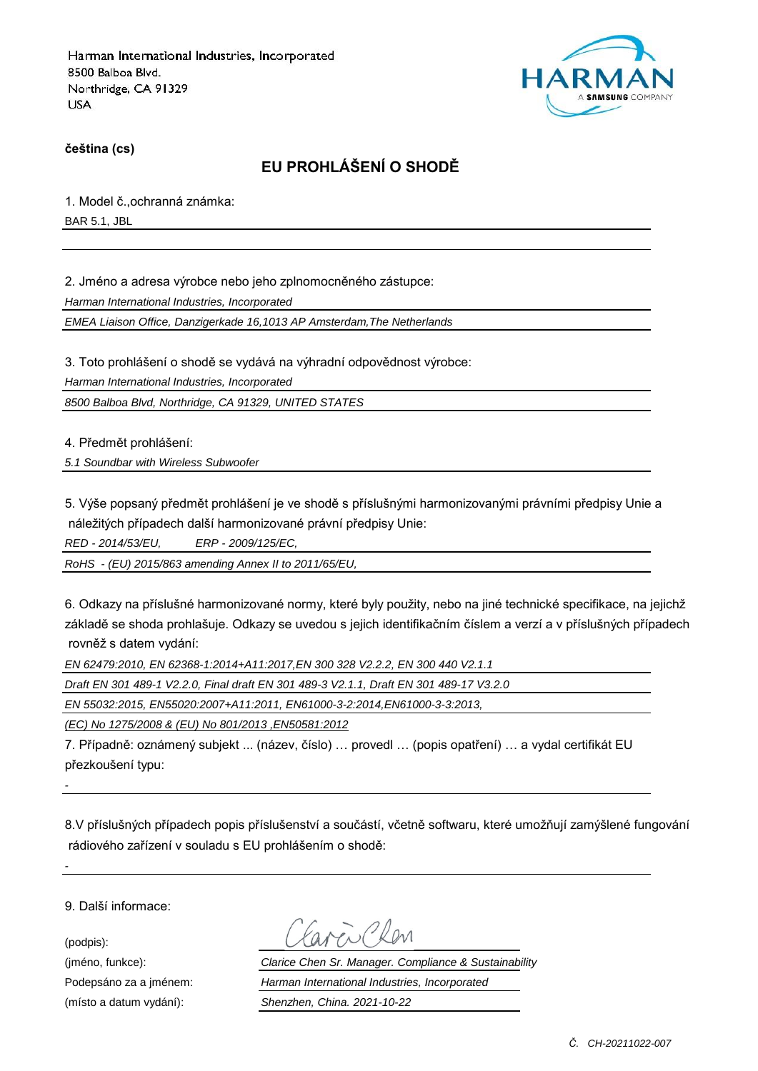

**čeština (cs)**

# **EU PROHLÁŠENÍ O SHODĚ**

1. Model č.,ochranná známka:

BAR 5.1, JBL

2. Jméno a adresa výrobce nebo jeho zplnomocněného zástupce:

*Harman International Industries, Incorporated*

*EMEA Liaison Office, Danzigerkade 16,1013 AP Amsterdam,The Netherlands*

3. Toto prohlášení o shodě se vydává na výhradní odpovědnost výrobce:

*Harman International Industries, Incorporated*

*8500 Balboa Blvd, Northridge, CA 91329, UNITED STATES*

4. Předmět prohlášení:

*5.1 Soundbar with Wireless Subwoofer*

5. Výše popsaný předmět prohlášení je ve shodě s příslušnými harmonizovanými právními předpisy Unie a náležitých případech další harmonizované právní předpisy Unie:

*RED - 2014/53/EU, ERP - 2009/125/EC,*

*RoHS - (EU) 2015/863 amending Annex II to 2011/65/EU,*

6. Odkazy na příslušné harmonizované normy, které byly použity, nebo na jiné technické specifikace, na jejichž základě se shoda prohlašuje. Odkazy se uvedou s jejich identifikačním číslem a verzí a v příslušných případech rovněž s datem vydání:

*EN 62479:2010, EN 62368-1:2014+A11:2017,EN 300 328 V2.2.2, EN 300 440 V2.1.1*

*Draft EN 301 489-1 V2.2.0, Final draft EN 301 489-3 V2.1.1, Draft EN 301 489-17 V3.2.0*

*EN 55032:2015, EN55020:2007+A11:2011, EN61000-3-2:2014,EN61000-3-3:2013,*

*(EC) No 1275/2008 & (EU) No 801/2013 ,EN50581:2012*

7. Případně: oznámený subjekt ... (název, číslo) … provedl … (popis opatření) … a vydal certifikát EU přezkoušení typu:

8.V příslušných případech popis příslušenství a součástí, včetně softwaru, které umožňují zamýšlené fungování rádiového zařízení v souladu s EU prohlášením o shodě:

9. Další informace:

(podpis):

*-*

*-*

(jméno, funkce): *Clarice Chen Sr. Manager. Compliance & Sustainability* Podepsáno za a jménem: *Harman International Industries, Incorporated* (místo a datum vydání): *Shenzhen, China. 2021-10-22*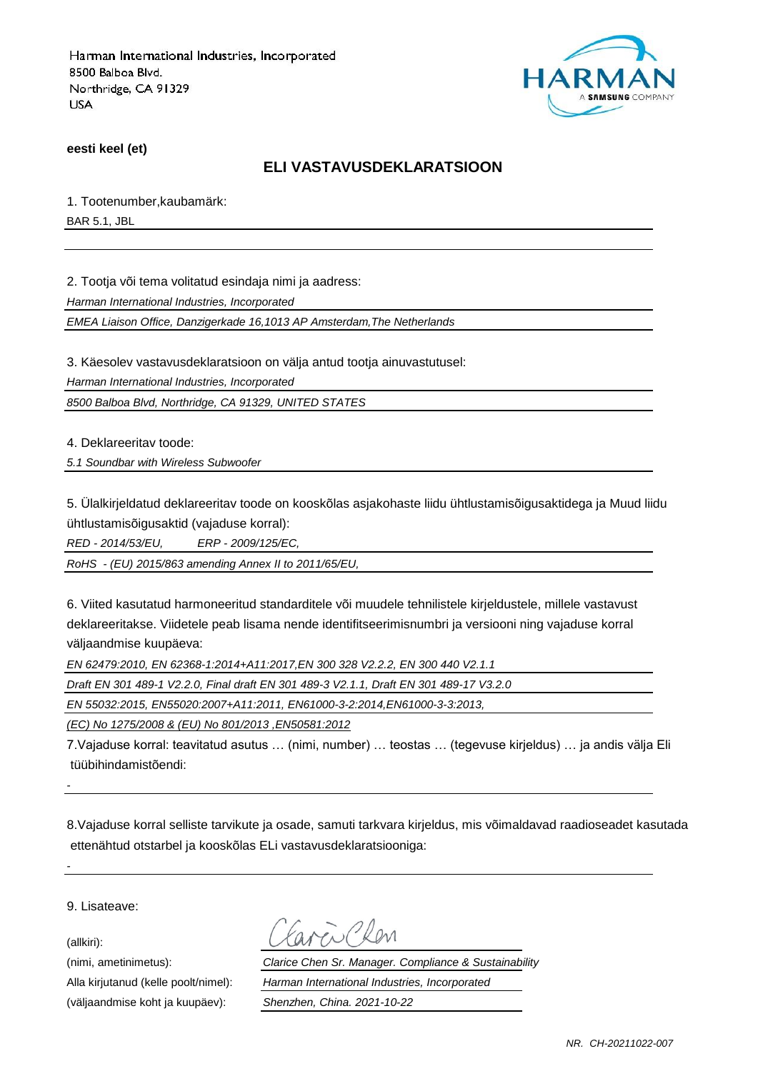

**eesti keel (et)**

#### **ELI VASTAVUSDEKLARATSIOON**

1. Tootenumber,kaubamärk:

BAR 5.1, JBL

2. Tootja või tema volitatud esindaja nimi ja aadress:

*Harman International Industries, Incorporated*

*EMEA Liaison Office, Danzigerkade 16,1013 AP Amsterdam,The Netherlands*

3. Käesolev vastavusdeklaratsioon on välja antud tootja ainuvastutusel:

*Harman International Industries, Incorporated*

*8500 Balboa Blvd, Northridge, CA 91329, UNITED STATES*

4. Deklareeritav toode:

*5.1 Soundbar with Wireless Subwoofer*

5. Ülalkirjeldatud deklareeritav toode on kooskõlas asjakohaste liidu ühtlustamisõigusaktidega ja Muud liidu ühtlustamisõigusaktid (vajaduse korral):

*RED - 2014/53/EU, ERP - 2009/125/EC,*

*RoHS - (EU) 2015/863 amending Annex II to 2011/65/EU,*

6. Viited kasutatud harmoneeritud standarditele või muudele tehnilistele kirjeldustele, millele vastavust deklareeritakse. Viidetele peab lisama nende identifitseerimisnumbri ja versiooni ning vajaduse korral väljaandmise kuupäeva:

*EN 62479:2010, EN 62368-1:2014+A11:2017,EN 300 328 V2.2.2, EN 300 440 V2.1.1*

*Draft EN 301 489-1 V2.2.0, Final draft EN 301 489-3 V2.1.1, Draft EN 301 489-17 V3.2.0*

*EN 55032:2015, EN55020:2007+A11:2011, EN61000-3-2:2014,EN61000-3-3:2013,*

*(EC) No 1275/2008 & (EU) No 801/2013 ,EN50581:2012*

7.Vajaduse korral: teavitatud asutus … (nimi, number) … teostas … (tegevuse kirjeldus) … ja andis välja Eli tüübihindamistõendi:

8.Vajaduse korral selliste tarvikute ja osade, samuti tarkvara kirjeldus, mis võimaldavad raadioseadet kasutada ettenähtud otstarbel ja kooskõlas ELi vastavusdeklaratsiooniga:

9. Lisateave:

(allkiri):

*-*

*-*

(väljaandmise koht ja kuupäev): *Shenzhen, China. 2021-10-22*

(nimi, ametinimetus): *Clarice Chen Sr. Manager. Compliance & Sustainability* Alla kirjutanud (kelle poolt/nimel): *Harman International Industries, Incorporated*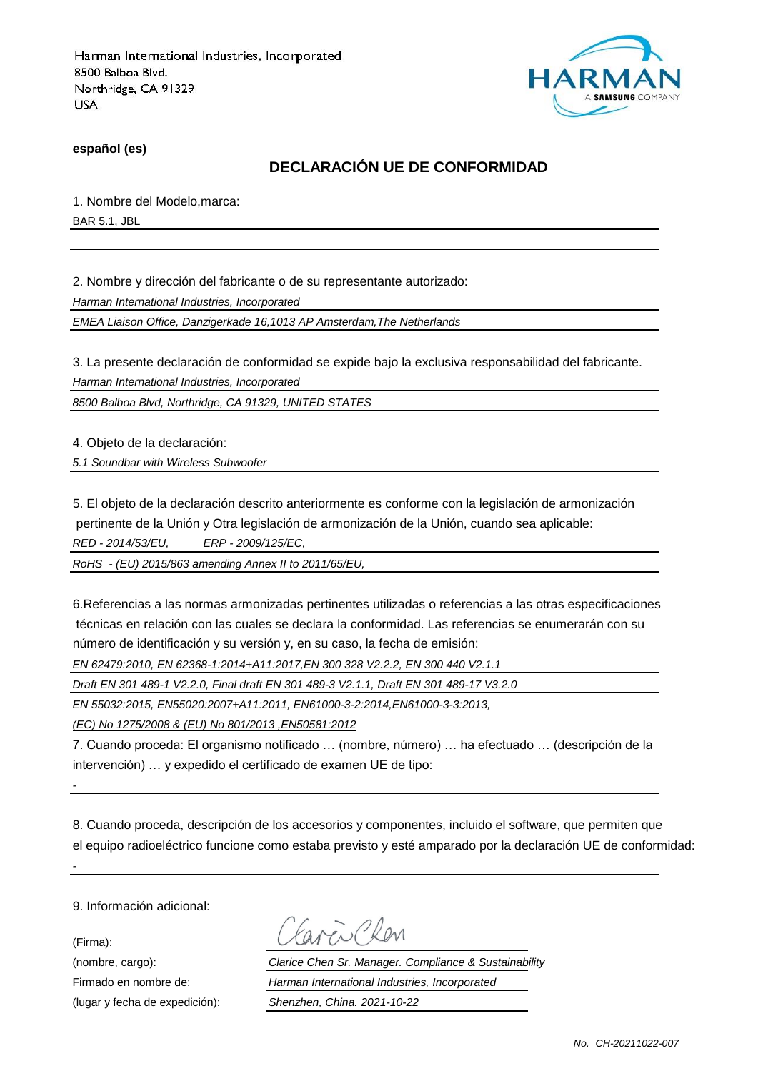

**español (es)**

### **DECLARACIÓN UE DE CONFORMIDAD**

1. Nombre del Modelo,marca:

BAR 5.1, JBL

2. Nombre y dirección del fabricante o de su representante autorizado:

*Harman International Industries, Incorporated*

*EMEA Liaison Office, Danzigerkade 16,1013 AP Amsterdam,The Netherlands*

3. La presente declaración de conformidad se expide bajo la exclusiva responsabilidad del fabricante.

*Harman International Industries, Incorporated*

*8500 Balboa Blvd, Northridge, CA 91329, UNITED STATES*

4. Objeto de la declaración:

*5.1 Soundbar with Wireless Subwoofer*

5. El objeto de la declaración descrito anteriormente es conforme con la legislación de armonización pertinente de la Unión y Otra legislación de armonización de la Unión, cuando sea aplicable: *RED - 2014/53/EU, ERP - 2009/125/EC,*

*RoHS - (EU) 2015/863 amending Annex II to 2011/65/EU,*

6.Referencias a las normas armonizadas pertinentes utilizadas o referencias a las otras especificaciones técnicas en relación con las cuales se declara la conformidad. Las referencias se enumerarán con su número de identificación y su versión y, en su caso, la fecha de emisión:

*EN 62479:2010, EN 62368-1:2014+A11:2017,EN 300 328 V2.2.2, EN 300 440 V2.1.1*

*Draft EN 301 489-1 V2.2.0, Final draft EN 301 489-3 V2.1.1, Draft EN 301 489-17 V3.2.0*

*EN 55032:2015, EN55020:2007+A11:2011, EN61000-3-2:2014,EN61000-3-3:2013,*

*(EC) No 1275/2008 & (EU) No 801/2013 ,EN50581:2012*

7. Cuando proceda: El organismo notificado … (nombre, número) … ha efectuado … (descripción de la intervención) … y expedido el certificado de examen UE de tipo:

8. Cuando proceda, descripción de los accesorios y componentes, incluido el software, que permiten que el equipo radioeléctrico funcione como estaba previsto y esté amparado por la declaración UE de conformidad:

9. Información adicional:

*-*

*-*

(Firma):

ENPROM

(nombre, cargo): *Clarice Chen Sr. Manager. Compliance & Sustainability* Firmado en nombre de: *Harman International Industries, Incorporated* (lugar y fecha de expedición): *Shenzhen, China. 2021-10-22*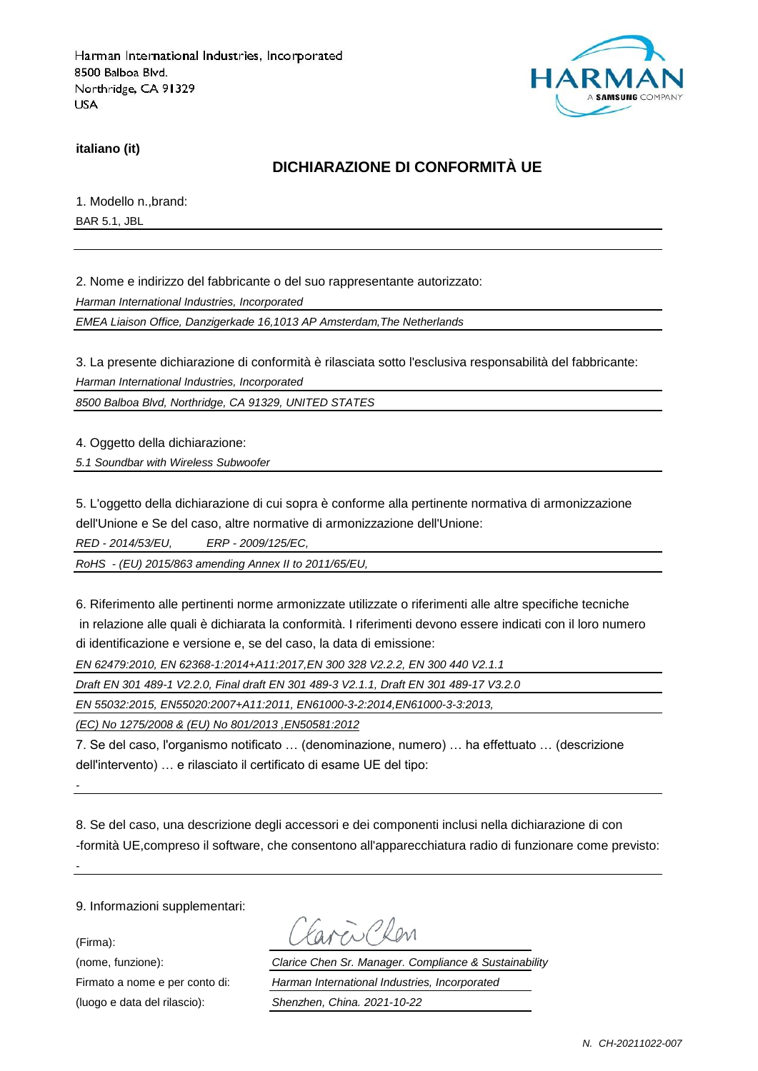

**italiano (it)**

### **DICHIARAZIONE DI CONFORMITÀ UE**

1. Modello n.,brand:

BAR 5.1, JBL

2. Nome e indirizzo del fabbricante o del suo rappresentante autorizzato:

*Harman International Industries, Incorporated*

*EMEA Liaison Office, Danzigerkade 16,1013 AP Amsterdam,The Netherlands*

3. La presente dichiarazione di conformità è rilasciata sotto l'esclusiva responsabilità del fabbricante:

*Harman International Industries, Incorporated*

*8500 Balboa Blvd, Northridge, CA 91329, UNITED STATES*

4. Oggetto della dichiarazione:

*5.1 Soundbar with Wireless Subwoofer*

5. L'oggetto della dichiarazione di cui sopra è conforme alla pertinente normativa di armonizzazione dell'Unione e Se del caso, altre normative di armonizzazione dell'Unione:

*RED - 2014/53/EU, ERP - 2009/125/EC,*

*RoHS - (EU) 2015/863 amending Annex II to 2011/65/EU,*

6. Riferimento alle pertinenti norme armonizzate utilizzate o riferimenti alle altre specifiche tecniche in relazione alle quali è dichiarata la conformità. I riferimenti devono essere indicati con il loro numero di identificazione e versione e, se del caso, la data di emissione:

*EN 62479:2010, EN 62368-1:2014+A11:2017,EN 300 328 V2.2.2, EN 300 440 V2.1.1*

*Draft EN 301 489-1 V2.2.0, Final draft EN 301 489-3 V2.1.1, Draft EN 301 489-17 V3.2.0*

*EN 55032:2015, EN55020:2007+A11:2011, EN61000-3-2:2014,EN61000-3-3:2013,*

*(EC) No 1275/2008 & (EU) No 801/2013 ,EN50581:2012*

7. Se del caso, l'organismo notificato … (denominazione, numero) … ha effettuato … (descrizione dell'intervento) … e rilasciato il certificato di esame UE del tipo:

8. Se del caso, una descrizione degli accessori e dei componenti inclusi nella dichiarazione di con -formità UE,compreso il software, che consentono all'apparecchiatura radio di funzionare come previsto:

9. Informazioni supplementari:

(Firma):

*-*

*-*

(luogo e data del rilascio): *Shenzhen, China. 2021-10-22*

Earen Chen

(nome, funzione): *Clarice Chen Sr. Manager. Compliance & Sustainability* Firmato a nome e per conto di: *Harman International Industries, Incorporated*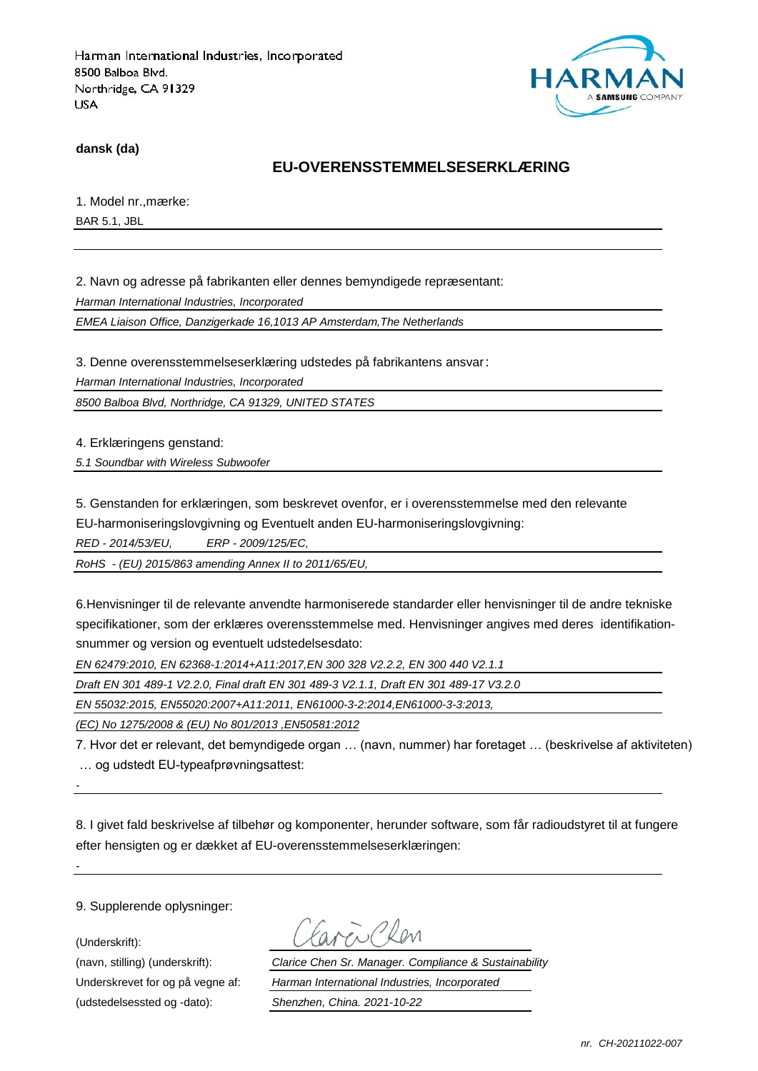

**dansk (da)**

### **EU-OVERENSSTEMMELSESERKLÆRING**

1. Model nr., mærke:

BAR 5.1, JBL

2. Navn og adresse på fabrikanten eller dennes bemyndigede repræ sentant:

*Harman International Industries, Incorporated*

*EMEA Liaison Office, Danzigerkade 16,1013 AP Amsterdam,The Netherlands*

3. Denne overensstemmelseserklæring udstedes på fabrikantens ansvar:

*Harman International Industries, Incorporated*

*8500 Balboa Blvd, Northridge, CA 91329, UNITED STATES*

4. Erklæringens genstand:

*5.1 Soundbar with Wireless Subwoofer*

5. Genstanden for erklæringen, som beskrevet ovenfor, er i overensstemmelse med den relevante EU-harmoniseringslovgivning og Eventuelt anden EU-harmoniseringslovgivning:

*RED - 2014/53/EU, ERP - 2009/125/EC,*

*RoHS - (EU) 2015/863 amending Annex II to 2011/65/EU,*

6.Henvisninger til de relevante anvendte harmoniserede standarder eller henvisninger til de andre tekniske specifikationer, som der erklæres overensstemmelse med. Henvisninger angives med deres identifikationsnummer og version og eventuelt udstedelsesdato:

*EN 62479:2010, EN 62368-1:2014+A11:2017,EN 300 328 V2.2.2, EN 300 440 V2.1.1*

*Draft EN 301 489-1 V2.2.0, Final draft EN 301 489-3 V2.1.1, Draft EN 301 489-17 V3.2.0*

*EN 55032:2015, EN55020:2007+A11:2011, EN61000-3-2:2014,EN61000-3-3:2013,*

*(EC) No 1275/2008 & (EU) No 801/2013 ,EN50581:2012*

7. Hvor det er relevant, det bemyndigede organ … (navn, nummer) har foretaget … (beskrivelse af aktiviteten) … og udstedt EU-typeafprøvningsattest:

*-*

*-*

8. I givet fald beskrivelse af tilbehør og komponenter, herunder software, som får radioudstyret til at fungere efter hensigten og er dækket af EU-overensstemmelseserklæringen:

9. Supplerende oplysninger:

(Underskrift):

(udstedelsessted og -dato): *Shenzhen, China. 2021-10-22*

(navn, stilling) (underskrift): *Clarice Chen Sr. Manager. Compliance & Sustainability* Underskrevet for og på vegne af: *Harman International Industries, Incorporated*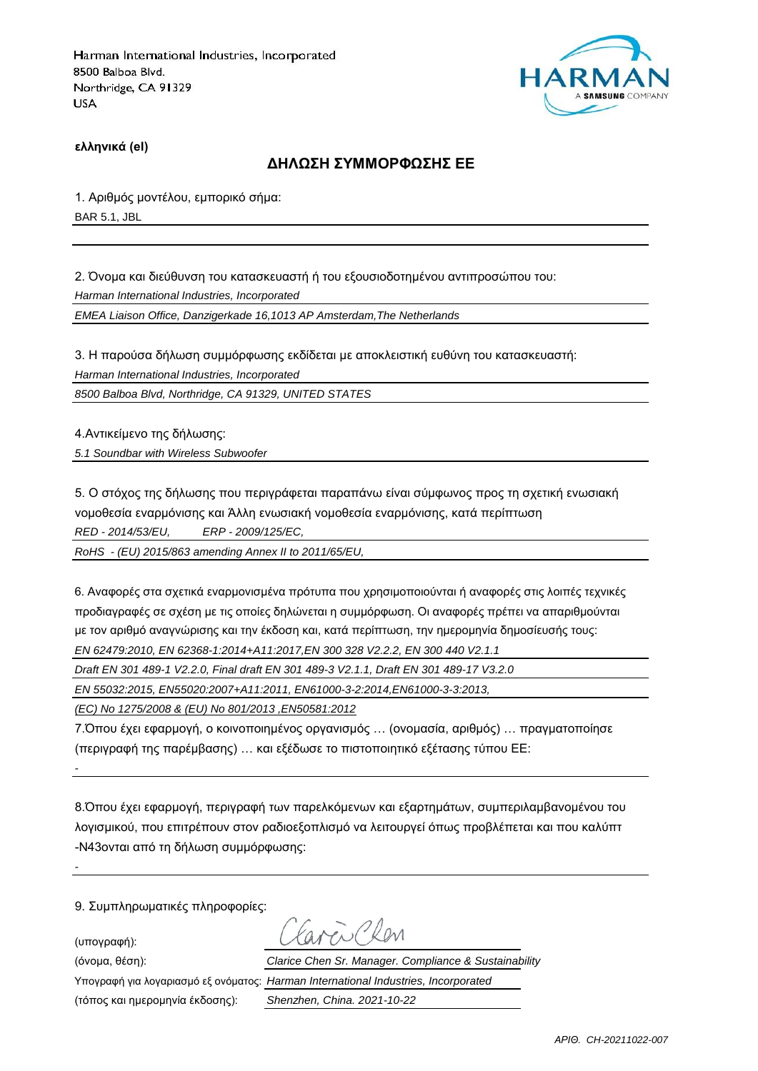

**ελληνικά (el)**

#### **ΔΗΛΩΣΗ ΣΥΜΜΟΡΦΩΣΗΣ ΕΕ**

1. Αριθμός μοντέλου, εμπορικό σήμα: BAR 5.1, JBL

2. Όνομα και διεύθυνση του κατασκευαστή ή του εξουσιοδοτημένου αντιπροσώπου του:

*Harman International Industries, Incorporated*

*EMEA Liaison Office, Danzigerkade 16,1013 AP Amsterdam,The Netherlands*

3. Η παρούσα δήλωση συμμόρφωσης εκδίδεται με αποκλειστική ευθύνη του κατασκευαστή:

*Harman International Industries, Incorporated*

*8500 Balboa Blvd, Northridge, CA 91329, UNITED STATES*

4.Αντικείμενο της δήλωσης:

*5.1 Soundbar with Wireless Subwoofer*

5. Ο στόχος της δήλωσης που περιγράφεται παραπάνω είναι σύμφωνος προς τη σχετική ενωσιακή νομοθεσία εναρμόνισης και Άλλη ενωσιακή νομοθεσία εναρμόνισης, κατά περίπτωση

*RED - 2014/53/EU, ERP - 2009/125/EC,*

*RoHS - (EU) 2015/863 amending Annex II to 2011/65/EU,*

6. Αναφορές στα σχετικά εναρμονισμένα πρότυπα που χρησιμοποιούνται ή αναφορές στις λοιπές τεχνικές προδιαγραφές σε σχέση με τις οποίες δηλώνεται η συμμόρφωση. Οι αναφορές πρέπει να απαριθμούνται με τον αριθμό αναγνώρισης και την έκδοση και, κατά περίπτωση, την ημερομηνία δημοσίευσής τους: *EN 62479:2010, EN 62368-1:2014+A11:2017,EN 300 328 V2.2.2, EN 300 440 V2.1.1*

*Draft EN 301 489-1 V2.2.0, Final draft EN 301 489-3 V2.1.1, Draft EN 301 489-17 V3.2.0*

*EN 55032:2015, EN55020:2007+A11:2011, EN61000-3-2:2014,EN61000-3-3:2013,*

*(EC) No 1275/2008 & (EU) No 801/2013 ,EN50581:2012*

7.Όπου έχει εφαρμογή, ο κοινοποιημένος οργανισμός … (ονομασία, αριθμός) … πραγματοποίησε (περιγραφή της παρέμβασης) … και εξέδωσε το πιστοποιητικό εξέτασης τύπου ΕΕ:

8.Όπου έχει εφαρμογή, περιγραφή των παρελκόμενων και εξαρτημάτων, συμπεριλαμβανομένου του λογισμικού, που επιτρέπουν στον ραδιοεξοπλισμό να λειτουργεί όπως προβλέπεται και που καλύπτ -N43ονται από τη δήλωση συμμόρφωσης:

9. Συμπληρωματικές πληροφορίες:

(υπογραφή):

*-*

*-*

(τόπος και ημερομηνία έκδοσης): *Shenzhen, China. 2021-10-22*

(όνομα, θέση): *Clarice Chen Sr. Manager. Compliance & Sustainability*

Υπογραφή για λογαριασμό εξ ονόματος: *Harman International Industries, Incorporated*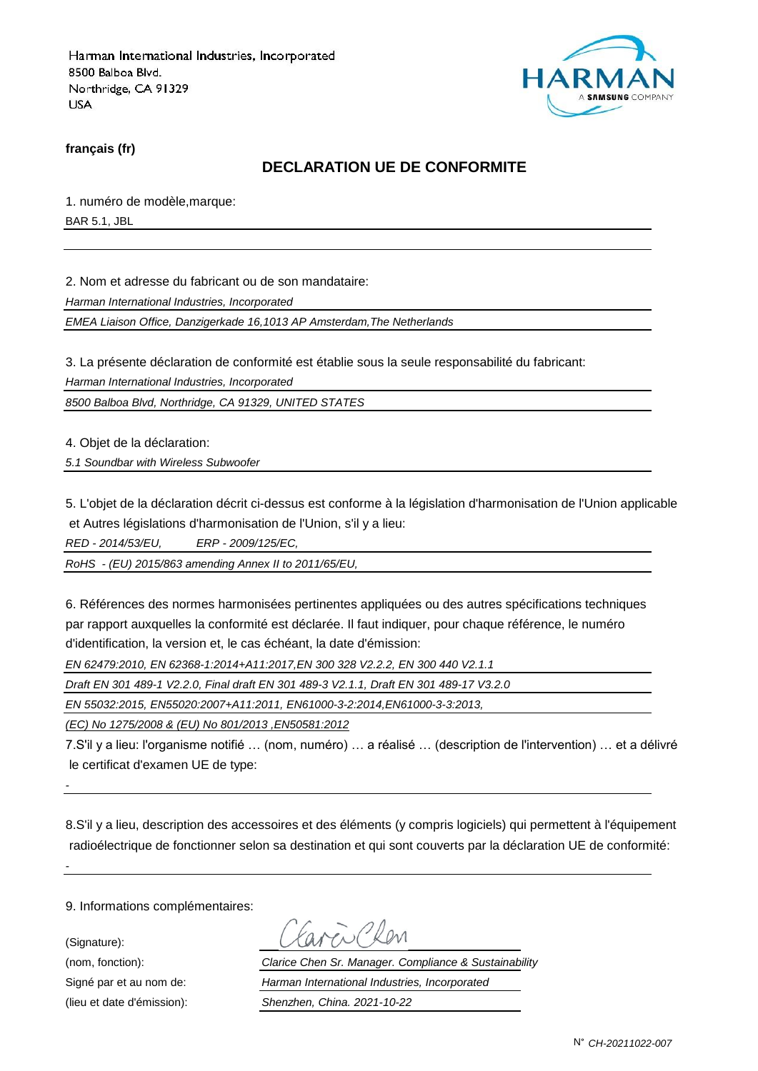

**français (fr)**

#### **DECLARATION UE DE CONFORMITE**

1. numéro de modèle,marque:

BAR 5.1, JBL

2. Nom et adresse du fabricant ou de son mandataire:

*Harman International Industries, Incorporated*

*EMEA Liaison Office, Danzigerkade 16,1013 AP Amsterdam,The Netherlands*

3. La présente déclaration de conformité est établie sous la seule responsabilité du fabricant:

*Harman International Industries, Incorporated*

*8500 Balboa Blvd, Northridge, CA 91329, UNITED STATES*

4. Objet de la déclaration:

*5.1 Soundbar with Wireless Subwoofer*

5. L'objet de la déclaration décrit ci-dessus est conforme à la législation d'harmonisation de l'Union applicable et Autres législations d'harmonisation de l'Union, s'il y a lieu:

*RED - 2014/53/EU, ERP - 2009/125/EC,*

*RoHS - (EU) 2015/863 amending Annex II to 2011/65/EU,*

6. Références des normes harmonisées pertinentes appliquées ou des autres spécifications techniques par rapport auxquelles la conformité est déclarée. Il faut indiquer, pour chaque référence, le numéro d'identification, la version et, le cas échéant, la date d'émission:

*EN 62479:2010, EN 62368-1:2014+A11:2017,EN 300 328 V2.2.2, EN 300 440 V2.1.1*

*Draft EN 301 489-1 V2.2.0, Final draft EN 301 489-3 V2.1.1, Draft EN 301 489-17 V3.2.0*

*EN 55032:2015, EN55020:2007+A11:2011, EN61000-3-2:2014,EN61000-3-3:2013,*

*(EC) No 1275/2008 & (EU) No 801/2013 ,EN50581:2012*

7.S'il y a lieu: l'organisme notifié … (nom, numéro) … a réalisé … (description de l'intervention) … et a délivré le certificat d'examen UE de type:

8.S'il y a lieu, description des accessoires et des éléments (y compris logiciels) qui permettent à l'équipement radioélectrique de fonctionner selon sa destination et qui sont couverts par la déclaration UE de conformité:

9. Informations complémentaires:

(Signature):

*-*

*-*

(nom, fonction): *Clarice Chen Sr. Manager. Compliance & Sustainability* Signé par et au nom de: *Harman International Industries, Incorporated* (lieu et date d'émission): *Shenzhen, China. 2021-10-22*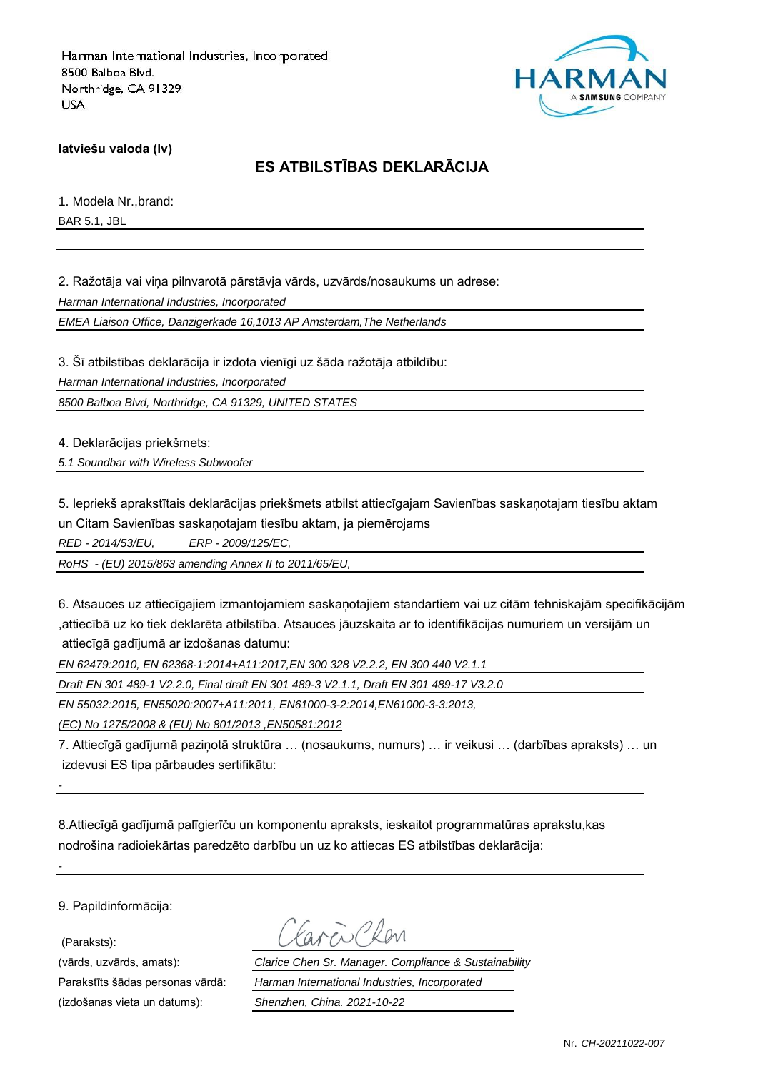

**latviešu valoda (lv)**

## **ES ATBILSTĪBAS DEKLARĀCIJA**

1. Modela Nr.,brand: BAR 5.1, JBL

2. Ražotāja vai viņa pilnvarotā pārstāvja vārds, uzvārds/nosaukums un adrese:

*Harman International Industries, Incorporated*

*EMEA Liaison Office, Danzigerkade 16,1013 AP Amsterdam,The Netherlands*

3. Šī atbilstības deklarācija ir izdota vienīgi uz šāda ražotāja atbildību:

*Harman International Industries, Incorporated*

*8500 Balboa Blvd, Northridge, CA 91329, UNITED STATES*

4. Deklarācijas priekšmets:

*5.1 Soundbar with Wireless Subwoofer*

5. Iepriekš aprakstītais deklarācijas priekšmets atbilst attiecīgajam Savienības saskaņotajam tiesību aktam un Citam Savienības saskaņotajam tiesību aktam, ja piemērojams

*RED - 2014/53/EU, ERP - 2009/125/EC,*

*RoHS - (EU) 2015/863 amending Annex II to 2011/65/EU,*

6. Atsauces uz attiecīgajiem izmantojamiem saskaņotajiem standartiem vai uz citām tehniskajām specifikācijām ,attiecībā uz ko tiek deklarēta atbilstība. Atsauces jāuzskaita ar to identifikācijas numuriem un versijām un attiecīgā gadījumā ar izdošanas datumu:

*EN 62479:2010, EN 62368-1:2014+A11:2017,EN 300 328 V2.2.2, EN 300 440 V2.1.1*

*Draft EN 301 489-1 V2.2.0, Final draft EN 301 489-3 V2.1.1, Draft EN 301 489-17 V3.2.0*

*EN 55032:2015, EN55020:2007+A11:2011, EN61000-3-2:2014,EN61000-3-3:2013,*

*(EC) No 1275/2008 & (EU) No 801/2013 ,EN50581:2012*

7. Attiecīgā gadījumā paziņotā struktūra … (nosaukums, numurs) … ir veikusi … (darbības apraksts) … un izdevusi ES tipa pārbaudes sertifikātu:

8.Attiecīgā gadījumā palīgierīču un komponentu apraksts, ieskaitot programmatūras aprakstu,kas nodrošina radioiekārtas paredzēto darbību un uz ko attiecas ES atbilstības deklarācija:

9. Papildinformācija:

(Paraksts):

*-*

*-*

(izdošanas vieta un datums): *Shenzhen, China. 2021-10-22*

(vārds, uzvārds, amats): *Clarice Chen Sr. Manager. Compliance & Sustainability* Parakstīts šādas personas vārdā: *Harman International Industries, Incorporated*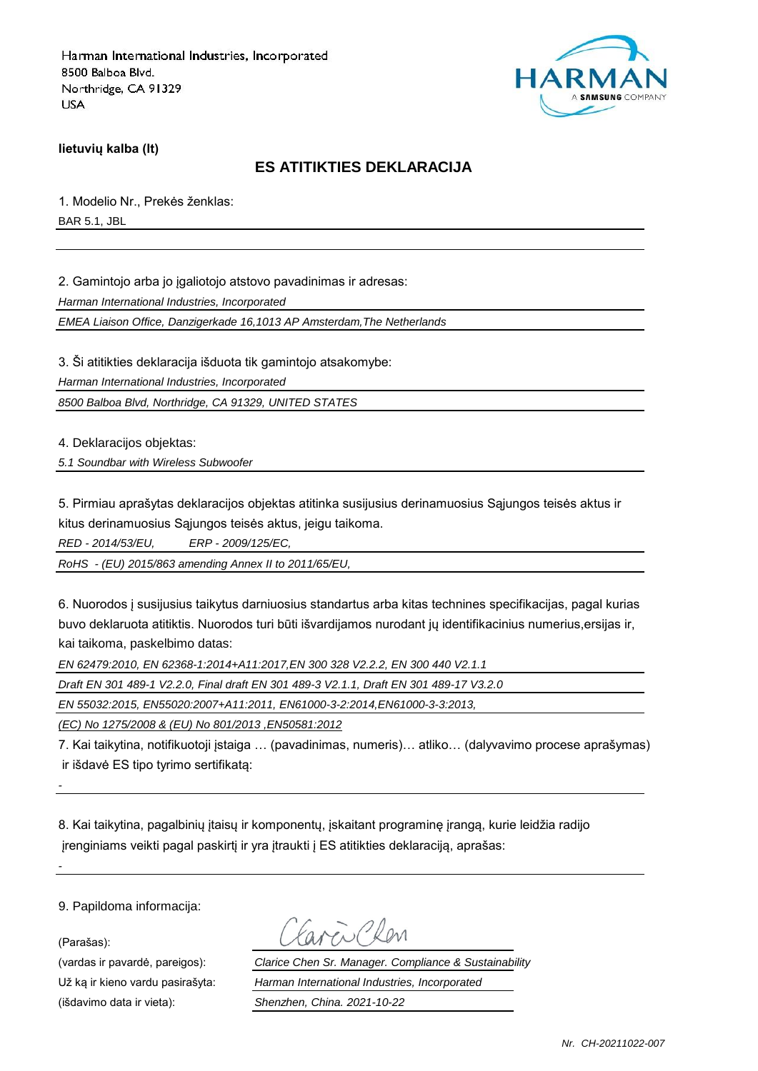

**lietuvių kalba (lt)**

### **ES ATITIKTIES DEKLARACIJA**

1. Modelio Nr., Prekės ženklas:

BAR 5.1, JBL

2. Gamintojo arba jo įgaliotojo atstovo pavadinimas ir adresas:

*Harman International Industries, Incorporated*

*EMEA Liaison Office, Danzigerkade 16,1013 AP Amsterdam,The Netherlands*

3. Ši atitikties deklaracija išduota tik gamintojo atsakomybe:

*Harman International Industries, Incorporated*

*8500 Balboa Blvd, Northridge, CA 91329, UNITED STATES*

4. Deklaracijos objektas:

*5.1 Soundbar with Wireless Subwoofer*

5. Pirmiau aprašytas deklaracijos objektas atitinka susijusius derinamuosius Sąjungos teisės aktus ir kitus derinamuosius Sąjungos teisės aktus, jeigu taikoma.

*RED - 2014/53/EU, ERP - 2009/125/EC,*

*RoHS - (EU) 2015/863 amending Annex II to 2011/65/EU,*

6. Nuorodos į susijusius taikytus darniuosius standartus arba kitas technines specifikacijas, pagal kurias buvo deklaruota atitiktis. Nuorodos turi būti išvardijamos nurodant jų identifikacinius numerius,ersijas ir, kai taikoma, paskelbimo datas:

*EN 62479:2010, EN 62368-1:2014+A11:2017,EN 300 328 V2.2.2, EN 300 440 V2.1.1*

*Draft EN 301 489-1 V2.2.0, Final draft EN 301 489-3 V2.1.1, Draft EN 301 489-17 V3.2.0*

*EN 55032:2015, EN55020:2007+A11:2011, EN61000-3-2:2014,EN61000-3-3:2013,*

*(EC) No 1275/2008 & (EU) No 801/2013 ,EN50581:2012*

7. Kai taikytina, notifikuotoji įstaiga … (pavadinimas, numeris)… atliko… (dalyvavimo procese aprašymas) ir išdavė ES tipo tyrimo sertifikatą:

8. Kai taikytina, pagalbinių įtaisų ir komponentų, įskaitant programinę įrangą, kurie leidžia radijo įrenginiams veikti pagal paskirtį ir yra įtraukti į ES atitikties deklaraciją, aprašas:

9. Papildoma informacija:

(Parašas):

*-*

*-*

(išdavimo data ir vieta): *Shenzhen, China. 2021-10-22*

(vardas ir pavardė, pareigos): *Clarice Chen Sr. Manager. Compliance & Sustainability* Už ką ir kieno vardu pasirašyta: *Harman International Industries, Incorporated*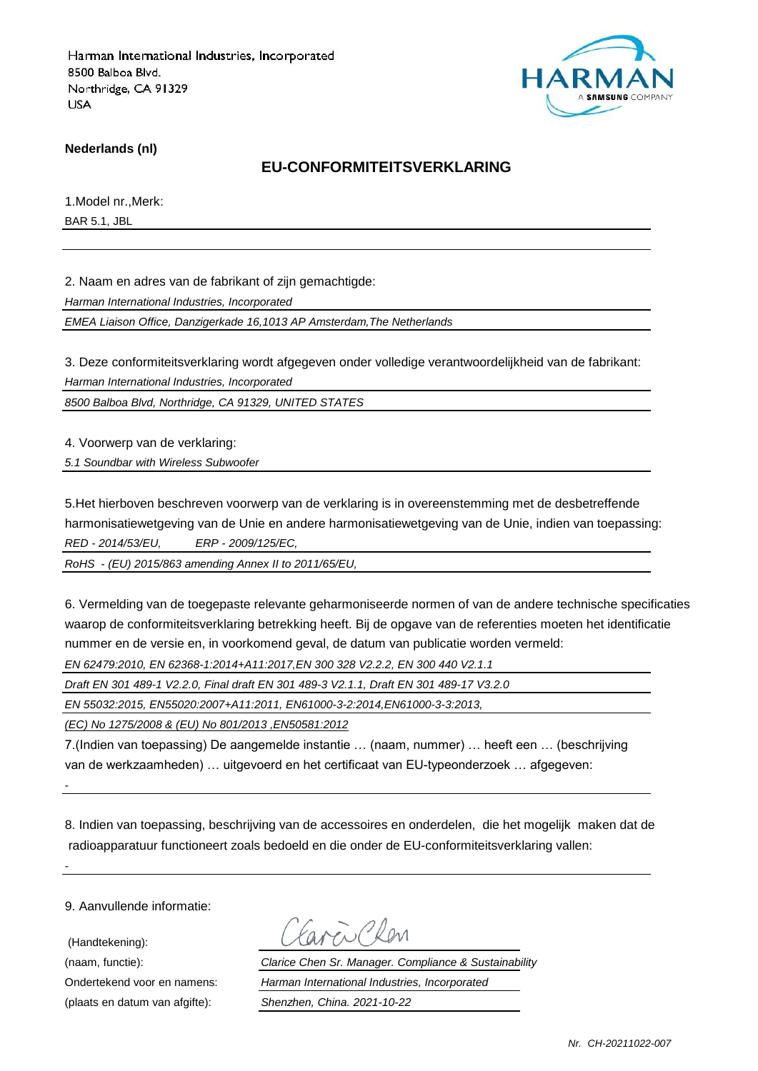

**Nederlands (nl)**

#### **EU-CONFORMITEITSVERKLARING**

1.Model nr.,Merk: BAR 5.1, JBL

2. Naam en adres van de fabrikant of zijn gemachtigde:

*Harman International Industries, Incorporated*

*EMEA Liaison Office, Danzigerkade 16,1013 AP Amsterdam,The Netherlands*

3. Deze conformiteitsverklaring wordt afgegeven onder volledige verantwoordelijkheid van de fabrikant:

*Harman International Industries, Incorporated*

*8500 Balboa Blvd, Northridge, CA 91329, UNITED STATES*

4. Voorwerp van de verklaring:

*5.1 Soundbar with Wireless Subwoofer*

5.Het hierboven beschreven voorwerp van de verklaring is in overeenstemming met de desbetreffende harmonisatiewetgeving van de Unie en andere harmonisatiewetgeving van de Unie, indien van toepassing: *RED - 2014/53/EU, ERP - 2009/125/EC,*

*RoHS - (EU) 2015/863 amending Annex II to 2011/65/EU,*

6. Vermelding van de toegepaste relevante geharmoniseerde normen of van de andere technische specificaties waarop de conformiteitsverklaring betrekking heeft. Bij de opgave van de referenties moeten het identificatie nummer en de versie en, in voorkomend geval, de datum van publicatie worden vermeld:

*EN 62479:2010, EN 62368-1:2014+A11:2017,EN 300 328 V2.2.2, EN 300 440 V2.1.1*

*Draft EN 301 489-1 V2.2.0, Final draft EN 301 489-3 V2.1.1, Draft EN 301 489-17 V3.2.0*

*EN 55032:2015, EN55020:2007+A11:2011, EN61000-3-2:2014,EN61000-3-3:2013,*

*(EC) No 1275/2008 & (EU) No 801/2013 ,EN50581:2012*

7.(Indien van toepassing) De aangemelde instantie … (naam, nummer) … heeft een … (beschrijving van de werkzaamheden) … uitgevoerd en het certificaat van EU-typeonderzoek … afgegeven:

8. Indien van toepassing, beschrijving van de accessoires en onderdelen, die het mogelijk maken dat de radioapparatuur functioneert zoals bedoeld en die onder de EU-conformiteitsverklaring vallen:

9. Aanvullende informatie:

*-*

*-*

 (Handtekening): (plaats en datum van afgifte): *Shenzhen, China. 2021-10-22*

(naam, functie): *Clarice Chen Sr. Manager. Compliance & Sustainability* Ondertekend voor en namens: *Harman International Industries, Incorporated*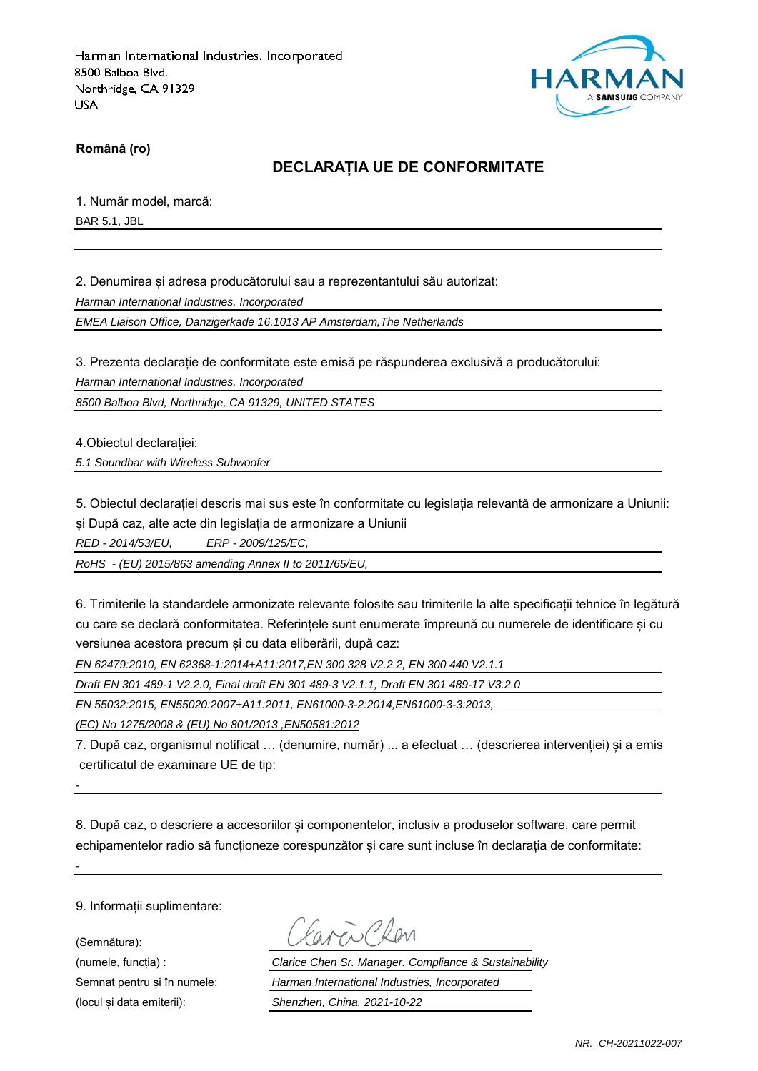

**Română (ro)**

### **DECLARAȚIA UE DE CONFORMITATE**

1. Număr model, marcă:

BAR 5.1, JBL

2. Denumirea și adresa producătorului sau a reprezentantului său autorizat:

*Harman International Industries, Incorporated*

*EMEA Liaison Office, Danzigerkade 16,1013 AP Amsterdam,The Netherlands*

3. Prezenta declarație de conformitate este emisă pe răspunderea exclusivă a producătorului:

*Harman International Industries, Incorporated*

*8500 Balboa Blvd, Northridge, CA 91329, UNITED STATES*

4.Obiectul declarației:

*5.1 Soundbar with Wireless Subwoofer*

5. Obiectul declarației descris mai sus este în conformitate cu legislația relevantă de armonizare a Uniunii: și După caz, alte acte din legislația de armonizare a Uniunii

*RED - 2014/53/EU, ERP - 2009/125/EC,*

*RoHS - (EU) 2015/863 amending Annex II to 2011/65/EU,*

6. Trimiterile la standardele armonizate relevante folosite sau trimiterile la alte specificații tehnice în legătură cu care se declară conformitatea. Referințele sunt enumerate împreună cu numerele de identificare și cu versiunea acestora precum și cu data eliberării, după caz:

*EN 62479:2010, EN 62368-1:2014+A11:2017,EN 300 328 V2.2.2, EN 300 440 V2.1.1*

*Draft EN 301 489-1 V2.2.0, Final draft EN 301 489-3 V2.1.1, Draft EN 301 489-17 V3.2.0*

*EN 55032:2015, EN55020:2007+A11:2011, EN61000-3-2:2014,EN61000-3-3:2013,*

*(EC) No 1275/2008 & (EU) No 801/2013 ,EN50581:2012*

7. După caz, organismul notificat … (denumire, număr) ... a efectuat … (descrierea intervenției) și a emis certificatul de examinare UE de tip:

8. După caz, o descriere a accesoriilor și componentelor, inclusiv a produselor software, care permit echipamentelor radio să functioneze corespunzător și care sunt incluse în declarația de conformitate:

9. Informații suplimentare:

*-*

*-*

(Semnătura):

 $\mathbb{Z}$  Phon

(numele, funcția) : *Clarice Chen Sr. Manager. Compliance & Sustainability* Semnat pentru și în numele: *Harman International Industries, Incorporated* (locul și data emiterii): *Shenzhen, China. 2021-10-22*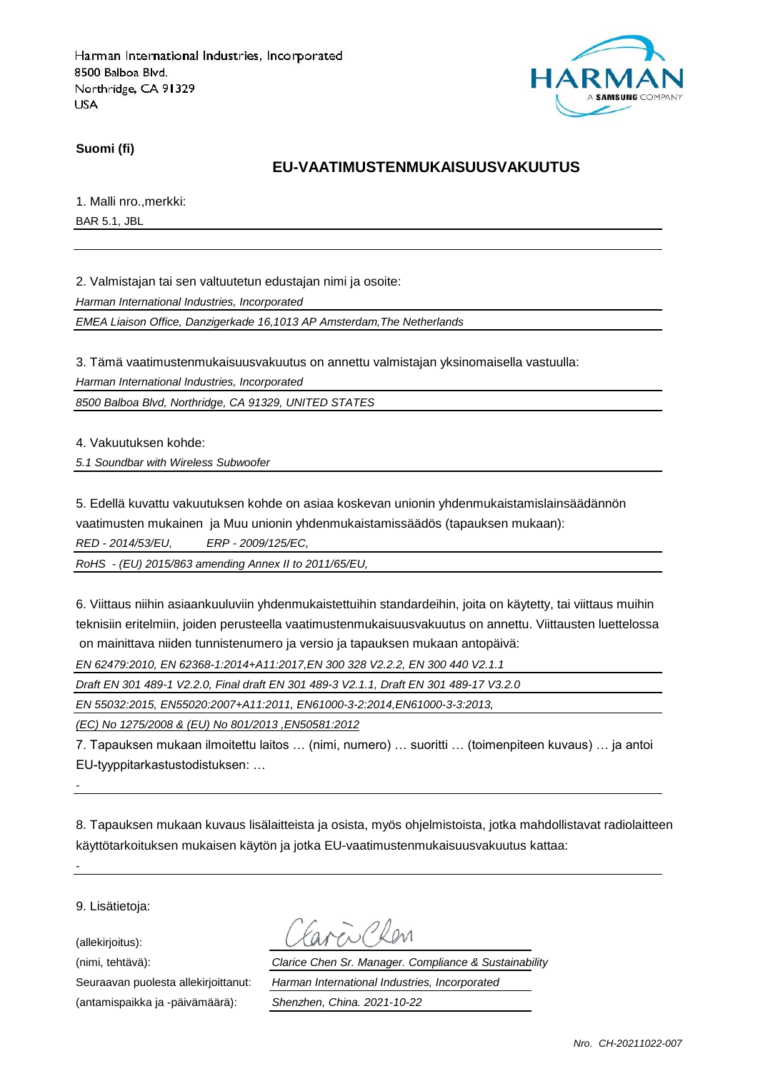

**Suomi (fi)**

### **EU-VAATIMUSTENMUKAISUUSVAKUUTUS**

1. Malli nro.,merkki:

BAR 5.1, JBL

2. Valmistajan tai sen valtuutetun edustajan nimi ja osoite:

*Harman International Industries, Incorporated*

*EMEA Liaison Office, Danzigerkade 16,1013 AP Amsterdam,The Netherlands*

3. Tämä vaatimustenmukaisuusvakuutus on annettu valmistajan yksinomaisella vastuulla:

*Harman International Industries, Incorporated*

*8500 Balboa Blvd, Northridge, CA 91329, UNITED STATES*

4. Vakuutuksen kohde:

*5.1 Soundbar with Wireless Subwoofer*

5. Edellä kuvattu vakuutuksen kohde on asiaa koskevan unionin yhdenmukaistamislainsäädännön vaatimusten mukainen ja Muu unionin yhdenmukaistamissäädös (tapauksen mukaan):

*RED - 2014/53/EU, ERP - 2009/125/EC,*

*RoHS - (EU) 2015/863 amending Annex II to 2011/65/EU,*

6. Viittaus niihin asiaankuuluviin yhdenmukaistettuihin standardeihin, joita on käytetty, tai viittaus muihin teknisiin eritelmiin, joiden perusteella vaatimustenmukaisuusvakuutus on annettu. Viittausten luettelossa on mainittava niiden tunnistenumero ja versio ja tapauksen mukaan antopäivä:

*EN 62479:2010, EN 62368-1:2014+A11:2017,EN 300 328 V2.2.2, EN 300 440 V2.1.1*

*Draft EN 301 489-1 V2.2.0, Final draft EN 301 489-3 V2.1.1, Draft EN 301 489-17 V3.2.0*

*EN 55032:2015, EN55020:2007+A11:2011, EN61000-3-2:2014,EN61000-3-3:2013,*

*(EC) No 1275/2008 & (EU) No 801/2013 ,EN50581:2012*

7. Tapauksen mukaan ilmoitettu laitos … (nimi, numero) … suoritti … (toimenpiteen kuvaus) … ja antoi EU-tyyppitarkastustodistuksen: …

8. Tapauksen mukaan kuvaus lisälaitteista ja osista, myös ohjelmistoista, jotka mahdollistavat radiolaitteen käyttötarkoituksen mukaisen käytön ja jotka EU-vaatimustenmukaisuusvakuutus kattaa:

9. Lisätietoja:

*-*

*-*

(allekirjoitus):

(antamispaikka ja -päivämäärä): *Shenzhen, China. 2021-10-22*

(nimi, tehtävä): *Clarice Chen Sr. Manager. Compliance & Sustainability* Seuraavan puolesta allekirjoittanut: *Harman International Industries, Incorporated*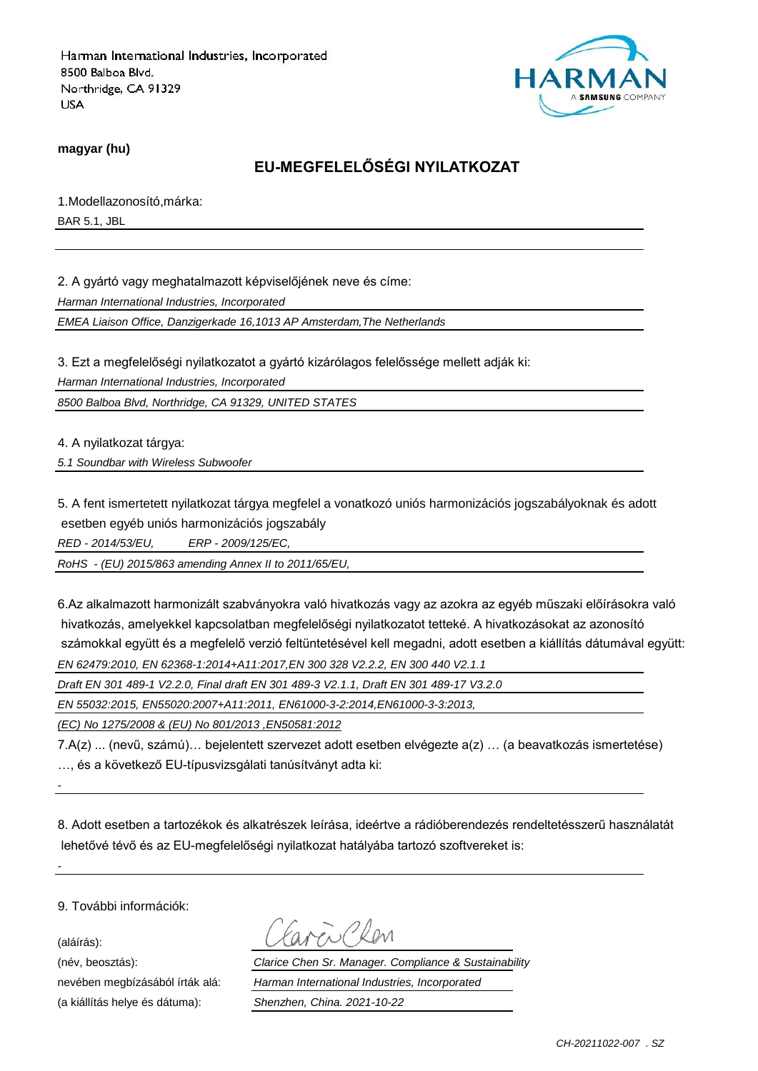

**magyar (hu)**

# **EU-MEGFELELŐSÉGI NYILATKOZAT**

1.Modellazonosító,márka: BAR 5.1, JBL

2. A gyártó vagy meghatalmazott képviselőjének neve és címe:

*Harman International Industries, Incorporated*

*EMEA Liaison Office, Danzigerkade 16,1013 AP Amsterdam,The Netherlands*

3. Ezt a megfelelőségi nyilatkozatot a gyártó kizárólagos felelőssége mellett adják ki:

*Harman International Industries, Incorporated*

*8500 Balboa Blvd, Northridge, CA 91329, UNITED STATES*

4. A nyilatkozat tárgya:

*5.1 Soundbar with Wireless Subwoofer*

5. A fent ismertetett nyilatkozat tárgya megfelel a vonatkozó uniós harmonizációs jogszabályoknak és adott esetben egyéb uniós harmonizációs jogszabály

*RED - 2014/53/EU, ERP - 2009/125/EC,*

*RoHS - (EU) 2015/863 amending Annex II to 2011/65/EU,*

6.Az alkalmazott harmonizált szabványokra való hivatkozás vagy az azokra az egyéb műszaki előírásokra való hivatkozás, amelyekkel kapcsolatban megfelelőségi nyilatkozatot tetteké. A hivatkozásokat az azonosító számokkal együtt és a megfelelő verzió feltüntetésével kell megadni, adott esetben a kiállítás dátumával együtt: *EN 62479:2010, EN 62368-1:2014+A11:2017,EN 300 328 V2.2.2, EN 300 440 V2.1.1*

*Draft EN 301 489-1 V2.2.0, Final draft EN 301 489-3 V2.1.1, Draft EN 301 489-17 V3.2.0*

*EN 55032:2015, EN55020:2007+A11:2011, EN61000-3-2:2014,EN61000-3-3:2013,*

*(EC) No 1275/2008 & (EU) No 801/2013 ,EN50581:2012*

7.A(z) ... (nevű, számú)… bejelentett szervezet adott esetben elvégezte a(z) … (a beavatkozás ismertetése) …, és a következő EU-típusvizsgálati tanúsítványt adta ki:

8. Adott esetben a tartozékok és alkatrészek leírása, ideértve a rádióberendezés rendeltetésszerű használatát lehetővé tévő és az EU-megfelelőségi nyilatkozat hatályába tartozó szoftvereket is:

9. További információk:

(aláírás):

*-*

*-*

(a kiállítás helye és dátuma): *Shenzhen, China. 2021-10-22*

(név, beosztás): *Clarice Chen Sr. Manager. Compliance & Sustainability* nevében megbízásából írták alá: *Harman International Industries, Incorporated*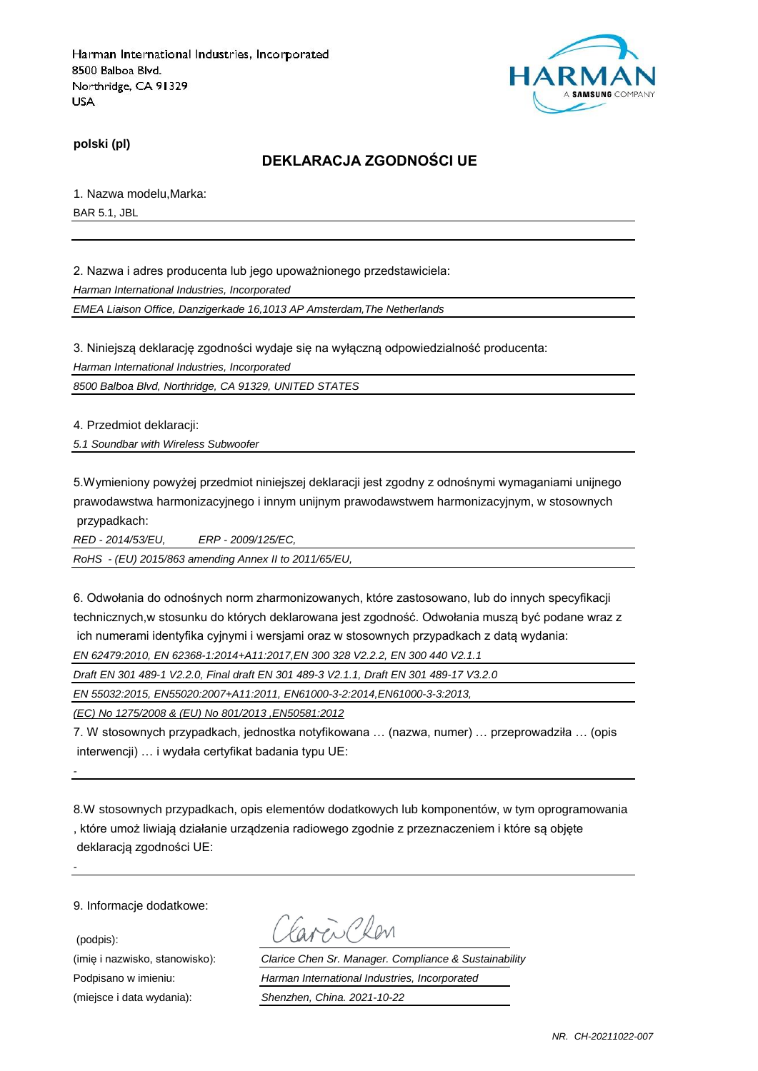

**polski (pl)**

### **DEKLARACJA ZGODNOŚCI UE**

1. Nazwa modelu,Marka: BAR 5.1, JBL

2. Nazwa i adres producenta lub jego upoważnionego przedstawiciela:

*Harman International Industries, Incorporated*

*EMEA Liaison Office, Danzigerkade 16,1013 AP Amsterdam,The Netherlands*

3. Niniejszą deklarację zgodności wydaje się na wyłączną odpowiedzialność producenta:

*Harman International Industries, Incorporated*

*8500 Balboa Blvd, Northridge, CA 91329, UNITED STATES*

4. Przedmiot deklaracji:

*5.1 Soundbar with Wireless Subwoofer*

5.Wymieniony powyżej przedmiot niniejszej deklaracji jest zgodny z odnośnymi wymaganiami unijnego prawodawstwa harmonizacyjnego i innym unijnym prawodawstwem harmonizacyjnym, w stosownych przypadkach:

*RED - 2014/53/EU, ERP - 2009/125/EC,*

*RoHS - (EU) 2015/863 amending Annex II to 2011/65/EU,*

6. Odwołania do odnośnych norm zharmonizowanych, które zastosowano, lub do innych specyfikacji technicznych,w stosunku do których deklarowana jest zgodność. Odwołania muszą być podane wraz z ich numerami identyfika cyjnymi i wersjami oraz w stosownych przypadkach z datą wydania:

*EN 62479:2010, EN 62368-1:2014+A11:2017,EN 300 328 V2.2.2, EN 300 440 V2.1.1*

*Draft EN 301 489-1 V2.2.0, Final draft EN 301 489-3 V2.1.1, Draft EN 301 489-17 V3.2.0*

*EN 55032:2015, EN55020:2007+A11:2011, EN61000-3-2:2014,EN61000-3-3:2013,*

*(EC) No 1275/2008 & (EU) No 801/2013 ,EN50581:2012*

7. W stosownych przypadkach, jednostka notyfikowana … (nazwa, numer) … przeprowadziła … (opis interwencji) … i wydała certyfikat badania typu UE:

8.W stosownych przypadkach, opis elementów dodatkowych lub komponentów, w tym oprogramowania , które umoż liwiają działanie urządzenia radiowego zgodnie z przeznaczeniem i które są objęte deklaracją zgodności UE:

9. Informacje dodatkowe:

*-*

*-*

(podpis):

Caren Chen

(imię i nazwisko, stanowisko): *Clarice Chen Sr. Manager. Compliance & Sustainability* Podpisano w imieniu: *Harman International Industries, Incorporated* (miejsce i data wydania): *Shenzhen, China. 2021-10-22*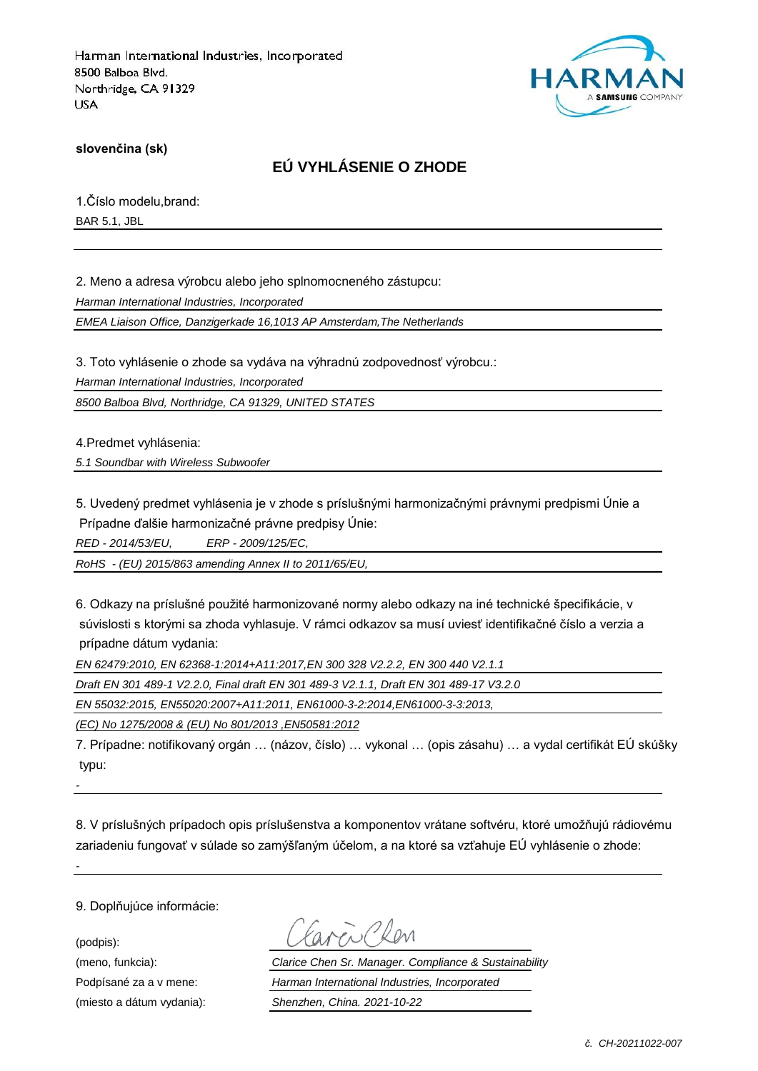

**slovenčina (sk)**

## **EÚ VYHLÁSENIE O ZHODE**

1.Číslo modelu,brand: BAR 5.1, JBL

2. Meno a adresa výrobcu alebo jeho splnomocneného zástupcu:

*Harman International Industries, Incorporated*

*EMEA Liaison Office, Danzigerkade 16,1013 AP Amsterdam,The Netherlands*

3. Toto vyhlásenie o zhode sa vydáva na výhradnú zodpovednosť výrobcu.:

*Harman International Industries, Incorporated*

*8500 Balboa Blvd, Northridge, CA 91329, UNITED STATES*

4.Predmet vyhlásenia:

*5.1 Soundbar with Wireless Subwoofer*

5. Uvedený predmet vyhlásenia je v zhode s príslušnými harmonizačnými právnymi predpismi Únie a Prípadne ďalšie harmonizačné právne predpisy Únie:

*RED - 2014/53/EU, ERP - 2009/125/EC,*

*RoHS - (EU) 2015/863 amending Annex II to 2011/65/EU,*

6. Odkazy na príslušné použité harmonizované normy alebo odkazy na iné technické špecifikácie, v súvislosti s ktorými sa zhoda vyhlasuje. V rámci odkazov sa musí uviesť identifikačné číslo a verzia a prípadne dátum vydania:

*EN 62479:2010, EN 62368-1:2014+A11:2017,EN 300 328 V2.2.2, EN 300 440 V2.1.1*

*Draft EN 301 489-1 V2.2.0, Final draft EN 301 489-3 V2.1.1, Draft EN 301 489-17 V3.2.0*

*EN 55032:2015, EN55020:2007+A11:2011, EN61000-3-2:2014,EN61000-3-3:2013,*

*(EC) No 1275/2008 & (EU) No 801/2013 ,EN50581:2012*

7. Prípadne: notifikovaný orgán … (názov, číslo) … vykonal … (opis zásahu) … a vydal certifikát EÚ skúšky typu:

*-*

*-*

8. V príslušných prípadoch opis príslušenstva a komponentov vrátane softvéru, ktoré umožňujú rádiovému zariadeniu fungovať v súlade so zamýšľaným účelom, a na ktoré sa vzťahuje EÚ vyhlásenie o zhode:

9. Doplňujúce informácie:

(podpis):

(meno, funkcia): *Clarice Chen Sr. Manager. Compliance & Sustainability* Podpísané za a v mene: *Harman International Industries, Incorporated* (miesto a dátum vydania): *Shenzhen, China. 2021-10-22*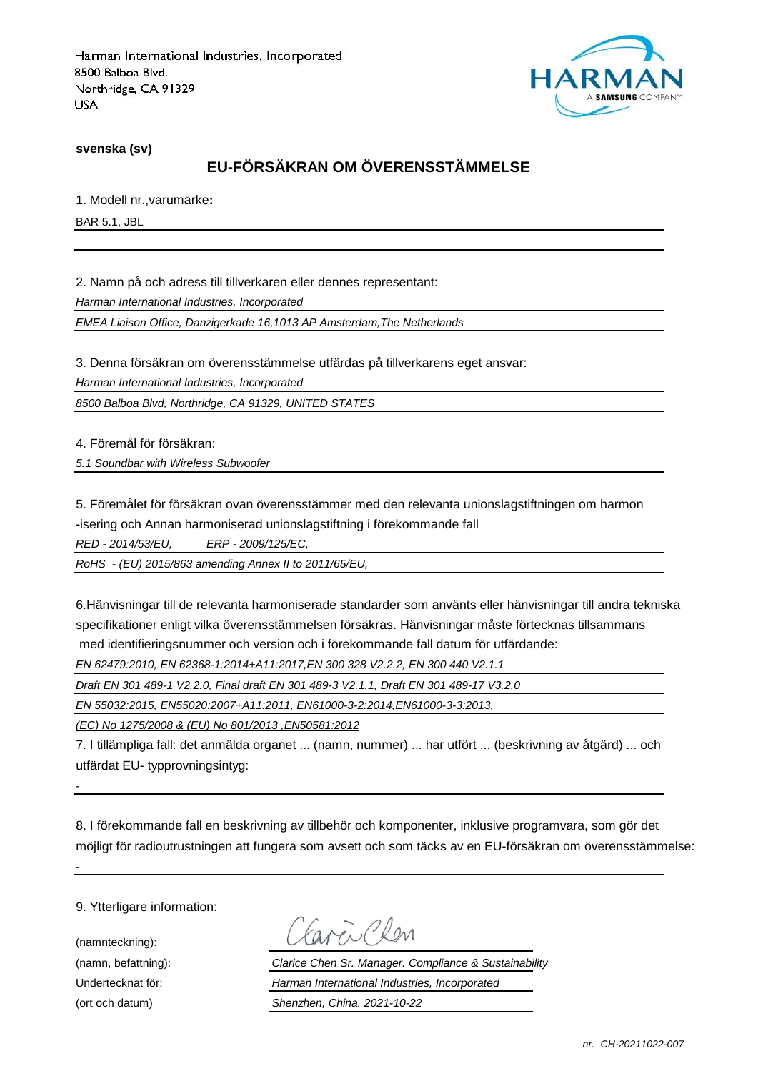

**svenska (sv)**

# **EU-FÖRSÄKRAN OM ÖVERENSSTÄMMELSE**

1. Modell nr.,varumärke**:**

BAR 5.1, JBL

2. Namn på och adress till tillverkaren eller dennes representant:

*Harman International Industries, Incorporated*

*EMEA Liaison Office, Danzigerkade 16,1013 AP Amsterdam,The Netherlands*

3. Denna försäkran om överensstämmelse utfärdas på tillverkarens eget ansvar:

*Harman International Industries, Incorporated*

*8500 Balboa Blvd, Northridge, CA 91329, UNITED STATES*

4. Föremål för försäkran:

*5.1 Soundbar with Wireless Subwoofer*

5. Föremålet för försäkran ovan överensstämmer med den relevanta unionslagstiftningen om harmon -isering och Annan harmoniserad unionslagstiftning i förekommande fall

*RED - 2014/53/EU, ERP - 2009/125/EC,*

*RoHS - (EU) 2015/863 amending Annex II to 2011/65/EU,*

6.Hänvisningar till de relevanta harmoniserade standarder som använts eller hänvisningar till andra tekniska specifikationer enligt vilka överensstämmelsen försäkras. Hänvisningar måste förtecknas tillsammans med identifieringsnummer och version och i förekommande fall datum för utfärdande:

*EN 62479:2010, EN 62368-1:2014+A11:2017,EN 300 328 V2.2.2, EN 300 440 V2.1.1*

*Draft EN 301 489-1 V2.2.0, Final draft EN 301 489-3 V2.1.1, Draft EN 301 489-17 V3.2.0*

*EN 55032:2015, EN55020:2007+A11:2011, EN61000-3-2:2014,EN61000-3-3:2013,*

*(EC) No 1275/2008 & (EU) No 801/2013 ,EN50581:2012*

7. I tillämpliga fall: det anmälda organet ... (namn, nummer) ... har utfört ... (beskrivning av åtgärd) ... och utfärdat EU- typprovningsintyg:

8. I förekommande fall en beskrivning av tillbehör och komponenter, inklusive programvara, som gör det möjligt för radioutrustningen att fungera som avsett och som täcks av en EU-försäkran om överensstämmelse:

9. Ytterligare information:

(namnteckning):

*-*

*-*

Carcio Clev

(namn, befattning): *Clarice Chen Sr. Manager. Compliance & Sustainability* Undertecknat för: *Harman International Industries, Incorporated* (ort och datum) *Shenzhen, China. 2021-10-22*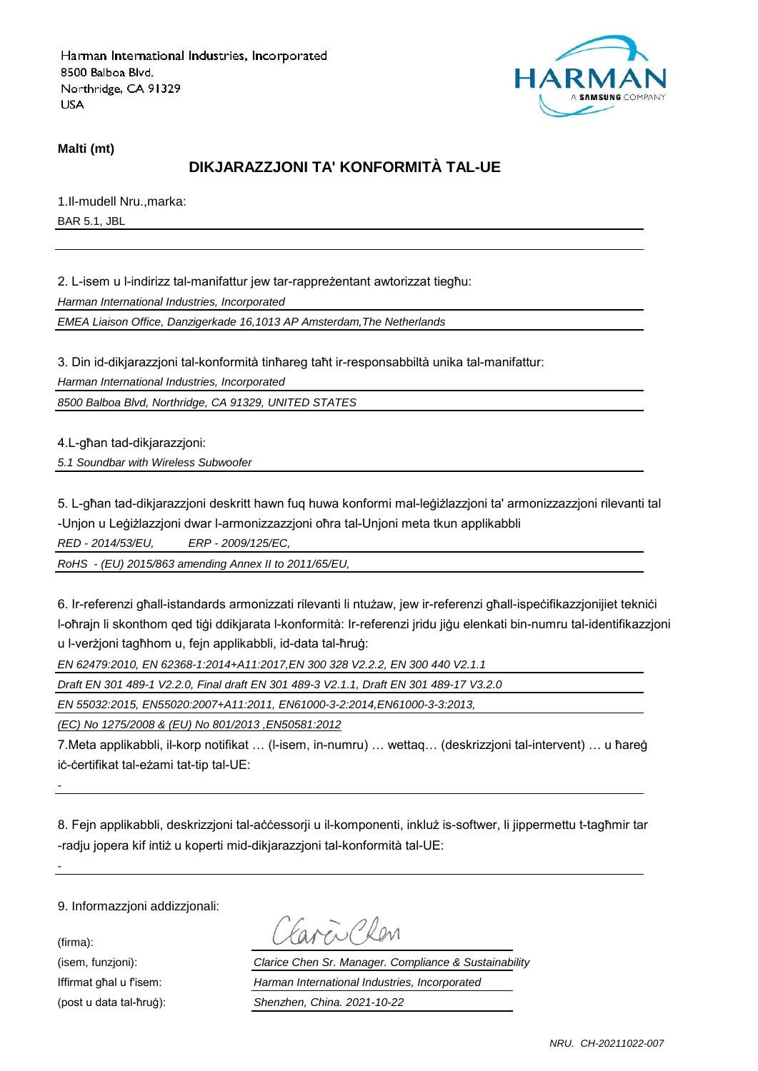

#### **Malti (mt)**

## **DIKJARAZZJONI TA' KONFORMITÀ TAL-UE**

1.Il-mudell Nru.,marka: BAR 5.1, JBL

2. L-isem u l-indirizz tal-manifattur jew tar-rappreżentant awtorizzat tiegħu:

*Harman International Industries, Incorporated*

*EMEA Liaison Office, Danzigerkade 16,1013 AP Amsterdam,The Netherlands*

3. Din id-dikjarazzjoni tal-konformità tinħareg taħt ir-responsabbiltà unika tal-manifattur:

*Harman International Industries, Incorporated*

*8500 Balboa Blvd, Northridge, CA 91329, UNITED STATES*

4.L-għan tad-dikjarazzjoni:

*5.1 Soundbar with Wireless Subwoofer*

5. L-għan tad-dikjarazzjoni deskritt hawn fuq huwa konformi mal-leġiżlazzjoni ta' armonizzazzjoni rilevanti tal -Unjon u Leġiżlazzjoni dwar l-armonizzazzjoni oħra tal-Unjoni meta tkun applikabbli

*RED - 2014/53/EU, ERP - 2009/125/EC,*

*RoHS - (EU) 2015/863 amending Annex II to 2011/65/EU,*

6. Ir-referenzi għall-istandards armonizzati rilevanti li ntużaw, jew ir-referenzi għall-ispeċifikazzjonijiet tekniċi l-oħrajn li skonthom qed tiġi ddikjarata l-konformità: Ir-referenzi jridu jiġu elenkati bin-numru tal-identifikazzjoni u l-verżjoni tagħhom u, fejn applikabbli, id-data tal-ħruġ:

*EN 62479:2010, EN 62368-1:2014+A11:2017,EN 300 328 V2.2.2, EN 300 440 V2.1.1*

*Draft EN 301 489-1 V2.2.0, Final draft EN 301 489-3 V2.1.1, Draft EN 301 489-17 V3.2.0*

*EN 55032:2015, EN55020:2007+A11:2011, EN61000-3-2:2014,EN61000-3-3:2013,*

*(EC) No 1275/2008 & (EU) No 801/2013 ,EN50581:2012*

7.Meta applikabbli, il-korp notifikat … (l-isem, in-numru) … wettaq… (deskrizzjoni tal-intervent) … u ħareġ iċ-ċertifikat tal-eżami tat-tip tal-UE:

8. Fejn applikabbli, deskrizzjoni tal-aċċessorji u il-komponenti, inkluż is-softwer, li jippermettu t-tagħmir tar -radju jopera kif intiż u koperti mid-dikjarazzjoni tal-konformità tal-UE:

9. Informazzjoni addizzjonali:

(firma):

*-*

*-*

aven Clen

(isem, funzjoni): *Clarice Chen Sr. Manager. Compliance & Sustainability* Iffirmat għal u f'isem: *Harman International Industries, Incorporated* (post u data tal-ħruġ): *Shenzhen, China. 2021-10-22*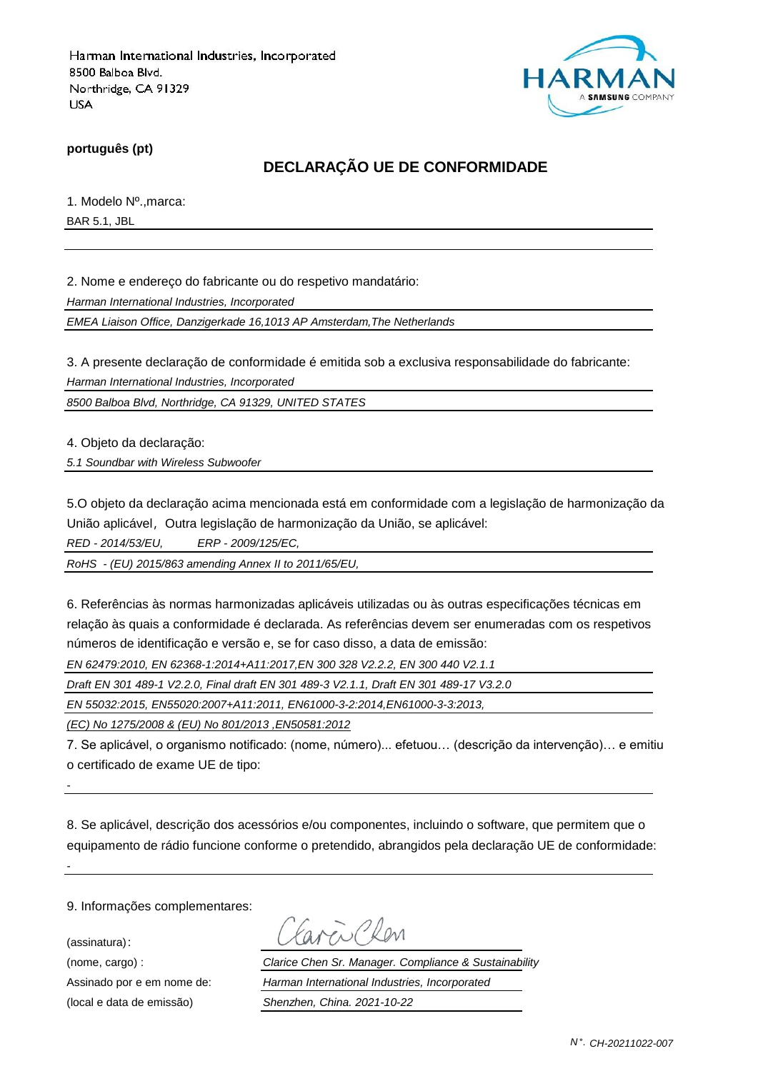

**português (pt)**

### **DECLARAÇÃO UE DE CONFORMIDADE**

1. Modelo Nº.,marca:

BAR 5.1, JBL

2. Nome e endereço do fabricante ou do respetivo mandatário:

*Harman International Industries, Incorporated*

*EMEA Liaison Office, Danzigerkade 16,1013 AP Amsterdam,The Netherlands*

3. A presente declaração de conformidade é emitida sob a exclusiva responsabilidade do fabricante:

*Harman International Industries, Incorporated*

*8500 Balboa Blvd, Northridge, CA 91329, UNITED STATES*

4. Objeto da declaração:

*5.1 Soundbar with Wireless Subwoofer*

5.O objeto da declaração acima mencionada está em conformidade com a legislação de harmonização da União aplicável, Outra legislação de harmonização da União, se aplicável:

*RED - 2014/53/EU, ERP - 2009/125/EC,*

*RoHS - (EU) 2015/863 amending Annex II to 2011/65/EU,*

6. Referências às normas harmonizadas aplicáveis utilizadas ou às outras especificações técnicas em relação às quais a conformidade é declarada. As referências devem ser enumeradas com os respetivos números de identificação e versão e, se for caso disso, a data de emissão:

*EN 62479:2010, EN 62368-1:2014+A11:2017,EN 300 328 V2.2.2, EN 300 440 V2.1.1*

*Draft EN 301 489-1 V2.2.0, Final draft EN 301 489-3 V2.1.1, Draft EN 301 489-17 V3.2.0*

*EN 55032:2015, EN55020:2007+A11:2011, EN61000-3-2:2014,EN61000-3-3:2013,*

*(EC) No 1275/2008 & (EU) No 801/2013 ,EN50581:2012*

7. Se aplicável, o organismo notificado: (nome, número)... efetuou… (descrição da intervenção)… e emitiu o certificado de exame UE de tipo:

8. Se aplicável, descrição dos acessórios e/ou componentes, incluindo o software, que permitem que o equipamento de rádio funcione conforme o pretendido, abrangidos pela declaração UE de conformidade:

9. Informações complementares:

(assinatura):

*-*

*-*

(nome, cargo) : *Clarice Chen Sr. Manager. Compliance & Sustainability* Assinado por e em nome de: *Harman International Industries, Incorporated* (local e data de emissão) *Shenzhen, China. 2021-10-22*